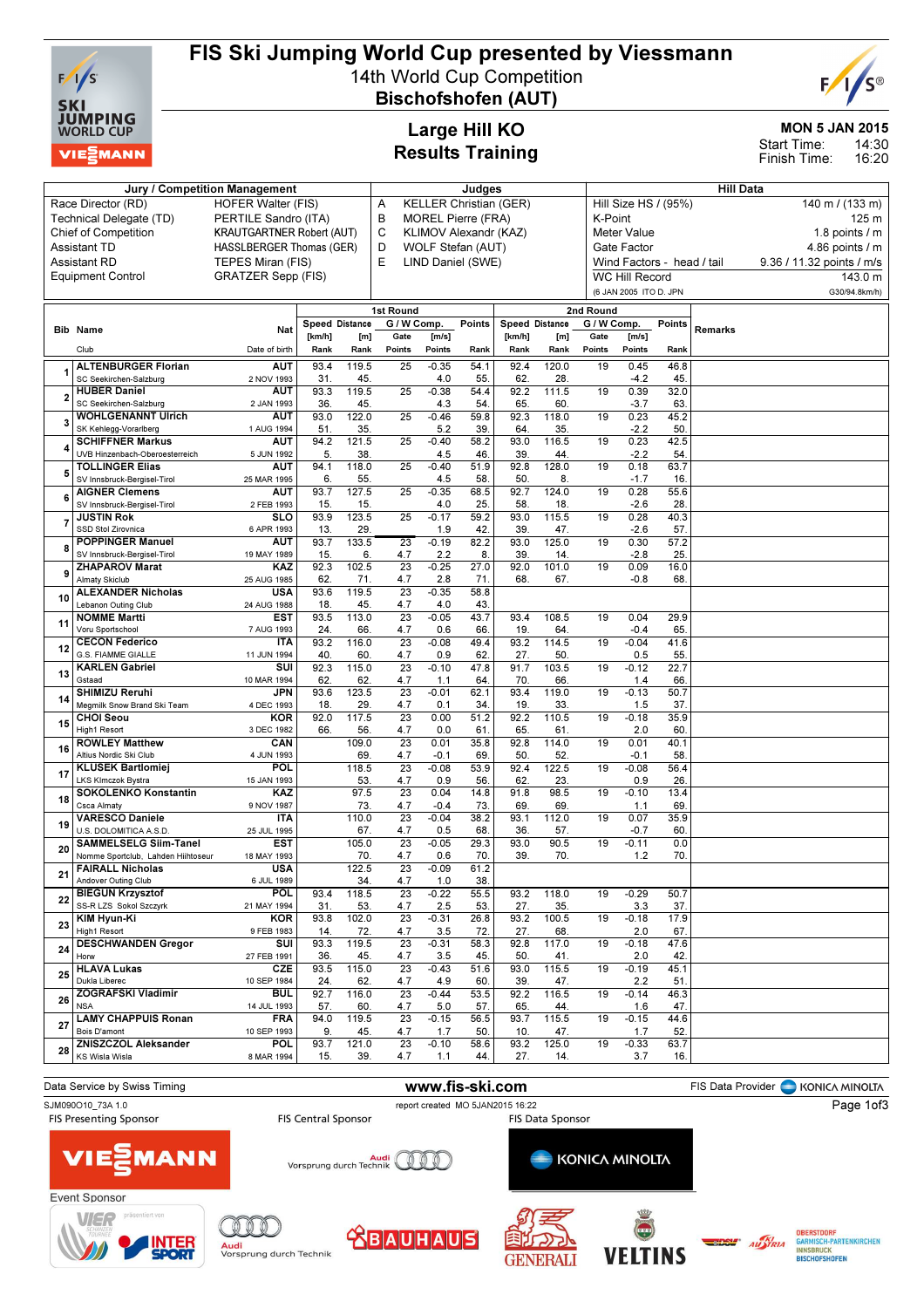

# FIS Ski Jumping World Cup presented by Viessmann

14th World Cup Competition Bischofshofen (AUT)



MON 5 JAN 2015

14:30 16:20 Start Time: Finish Time:

## Large Hill KO Results Training

|                |                                                           | Jury / Competition Management    |             |                |                        |                | Judges                    |                               |              |                 |                        |                            | <b>Hill Data</b> |                           |
|----------------|-----------------------------------------------------------|----------------------------------|-------------|----------------|------------------------|----------------|---------------------------|-------------------------------|--------------|-----------------|------------------------|----------------------------|------------------|---------------------------|
|                | Race Director (RD)                                        | <b>HOFER Walter (FIS)</b>        |             |                | Α                      |                |                           | <b>KELLER Christian (GER)</b> |              |                 |                        | Hill Size HS / (95%)       |                  | 140 m / (133 m)           |
|                | Technical Delegate (TD)                                   | PERTILE Sandro (ITA)             |             |                | В                      |                | <b>MOREL Pierre (FRA)</b> |                               |              | K-Point         |                        |                            |                  | 125 m                     |
|                | <b>Chief of Competition</b>                               | <b>KRAUTGARTNER Robert (AUT)</b> |             |                | C                      |                | KLIMOV Alexandr (KAZ)     |                               |              |                 | <b>Meter Value</b>     |                            |                  | 1.8 points $/m$           |
|                | <b>Assistant TD</b>                                       | <b>HASSLBERGER Thomas (GER)</b>  |             |                | D                      |                | WOLF Stefan (AUT)         |                               |              |                 | Gate Factor            |                            |                  | 4.86 points / m           |
|                | <b>Assistant RD</b>                                       | TEPES Miran (FIS)                |             |                | Е                      |                | LIND Daniel (SWE)         |                               |              |                 |                        | Wind Factors - head / tail |                  | 9.36 / 11.32 points / m/s |
|                |                                                           |                                  |             |                |                        |                |                           |                               |              |                 | <b>WC Hill Record</b>  |                            |                  |                           |
|                | <b>Equipment Control</b>                                  | <b>GRATZER Sepp (FIS)</b>        |             |                |                        |                |                           |                               |              |                 |                        |                            |                  | 143.0 m                   |
|                |                                                           |                                  |             |                |                        |                |                           |                               |              |                 | (6 JAN 2005 ITO D. JPN |                            |                  | G30/94.8km/h)             |
|                |                                                           |                                  |             |                | 1st Round              |                |                           |                               |              | 2nd Round       |                        |                            |                  |                           |
|                | <b>Bib Name</b>                                           | Nat                              |             | Speed Distance | G / W Comp.            |                | Points                    | Speed Distance                |              | G / W Comp.     |                        | Points                     | Remarks          |                           |
|                |                                                           |                                  | [km/h]      | [m]            | Gate                   | [m/s]          |                           | [km/h]                        | [m]          | Gate            | [m/s]                  |                            |                  |                           |
|                | Club                                                      | Date of birth                    | Rank        | Rank           | Points                 | Points         | Rank                      | Rank                          | Rank         | Points          | Points                 | Rank                       |                  |                           |
|                | <b>ALTENBURGER Florian</b>                                | <b>AUT</b>                       | 93.4        | 119.5          | 25                     | $-0.35$        | 54.1                      | 92.4                          | 120.0        | 19              | 0.45                   | 46.8                       |                  |                           |
| 1              | SC Seekirchen-Salzburg                                    | 2 NOV 1993                       | 31.         | 45.            |                        | 4.0            | 55.                       | 62                            | 28.          |                 | $-4.2$                 | 45.                        |                  |                           |
| $\overline{2}$ | <b>HUBER Daniel</b>                                       | <b>AUT</b>                       | 93.3        | 119.5          | 25                     | $-0.38$        | 54.4                      | 92.2                          | 111.5        | 19              | 0.39                   | 32.0                       |                  |                           |
|                | SC Seekirchen-Salzburg                                    | 2 JAN 1993                       | 36.         | 45.            |                        | 4.3            | 54                        | 65.                           | 60.          |                 | $-3.7$                 | 63                         |                  |                           |
| 3              | <b>WOHLGENANNT Ulrich</b>                                 | <b>AUT</b>                       | 93.0        | 122.0          | $\overline{25}$        | $-0.46$        | 59.8                      | 92.3                          | 118.0        | 19              | 0.23                   | 45.2                       |                  |                           |
|                | SK Kehlegg-Vorarlberg                                     | 1 AUG 1994                       | 51.         | 35.            |                        | 5.2            | 39.                       | 64                            | 35.          |                 | $-2.2$                 | 50                         |                  |                           |
| 4              | <b>SCHIFFNER Markus</b><br>UVB Hinzenbach-Oberoesterreich | <b>AUT</b><br>5 JUN 1992         | 94.2<br>5.  | 121.5<br>38    | 25                     | $-0.40$<br>4.5 | 58.2<br>46.               | 93.0<br>39                    | 116.5<br>44  | 19              | 0.23<br>$-2.2$         | 42.5<br>54                 |                  |                           |
|                | <b>TOLLINGER Elias</b>                                    | <b>AUT</b>                       | 94.1        | 118.0          | 25                     | $-0.40$        | 51.9                      | 92.8                          | 128.0        | 19              | 0.18                   | 63.7                       |                  |                           |
| 5              | SV Innsbruck-Bergisel-Tirol                               | 25 MAR 1995                      | 6.          | 55.            |                        | 4.5            | 58                        | 50.                           | 8.           |                 | $-1.7$                 | 16                         |                  |                           |
|                | <b>AIGNER Clemens</b>                                     | <b>AUT</b>                       | 93.7        | 127.5          | $\overline{25}$        | $-0.35$        | 68.5                      | 92.7                          | 124.0        | $\overline{19}$ | 0.28                   | 55.6                       |                  |                           |
| 6              | SV Innsbruck-Bergisel-Tirol                               | 2 FEB 1993                       | 15.         | 15.            |                        | 4.0            | 25.                       | 58                            | 18           |                 | $-2.6$                 | 28                         |                  |                           |
| 7              | <b>JUSTIN Rok</b>                                         | SLO                              | 93.9        | 123.5          | $\overline{25}$        | $-0.17$        | 59.2                      | 93.0                          | 115.5        | 19              | 0.28                   | 40.3                       |                  |                           |
|                | SSD Stol Zirovnica                                        | 6 APR 1993                       | 13.         | 29.            |                        | 1.9            | 42.                       | 39                            | 47.          |                 | $-2.6$                 | 57.                        |                  |                           |
| 8              | <b>POPPINGER Manuel</b>                                   | <b>AUT</b>                       | 93.7        | 133.5          | 23                     | $-0.19$        | 82.2                      | 93.0                          | 125.0        | 19              | 0.30                   | 57.2                       |                  |                           |
|                | SV Innsbruck-Bergisel-Tirol                               | 19 MAY 1989                      | 15.         | 6.             | 4.7                    | 2.2            | 8.                        | 39                            | 14.          |                 | $-2.8$                 | 25.                        |                  |                           |
| 9              | <b>ZHAPAROV Marat</b>                                     | <b>KAZ</b>                       | 92.3        | 102.5          | 23                     | $-0.25$        | 27.0                      | 92.0                          | 101.0        | 19              | 0.09                   | 16.0                       |                  |                           |
|                | <b>Almaty Skiclub</b>                                     | 25 AUG 1985                      | 62.         | 71.            | 4.7                    | 2.8            | 71.                       | 68                            | 67.          |                 | $-0.8$                 | 68                         |                  |                           |
| 10             | <b>ALEXANDER Nicholas</b><br>Lebanon Outing Club          | <b>USA</b>                       | 93.6        | 119.5          | 23                     | $-0.35$        | 58.8                      |                               |              |                 |                        |                            |                  |                           |
|                | <b>NOMME Martti</b>                                       | 24 AUG 1988<br><b>EST</b>        | 18.<br>93.5 | 45.<br>113.0   | 4.7<br>23              | 4.0<br>$-0.05$ | 43.<br>43.7               | 93.4                          | 108.5        | 19              | 0.04                   | 29.9                       |                  |                           |
| 11             | Voru Sportschool                                          | 7 AUG 1993                       | 24.         | 66.            | 4.7                    | 0.6            | 66.                       | 19.                           | 64.          |                 | $-0.4$                 | 65                         |                  |                           |
|                | <b>CECON Federico</b>                                     | <b>ITA</b>                       | 93.2        | 116.0          | 23                     | $-0.08$        | 49.4                      | 93.2                          | 114.5        | 19              | $-0.04$                | 41.6                       |                  |                           |
| 12             | <b>G.S. FIAMME GIALLE</b>                                 | 11 JUN 1994                      | 40          | 60             | 4.7                    | 0.9            | 62.                       | 27.                           | 50           |                 | 0.5                    | 55.                        |                  |                           |
|                | <b>KARLEN Gabriel</b>                                     | SUI                              | 92.3        | 115.0          | 23                     | $-0.10$        | 47.8                      | 91.7                          | 103.5        | 19              | $-0.12$                | 22.7                       |                  |                           |
| 13             | Gstaad                                                    | 10 MAR 1994                      | 62.         | 62.            | 4.7                    | 1.1            | 64                        | 70                            | 66.          |                 | 1.4                    | 66                         |                  |                           |
| 14             | <b>SHIMIZU Reruhi</b>                                     | JPN                              | 93.6        | 123.5          | 23                     | $-0.01$        | 62.1                      | 93.4                          | 119.0        | 19              | $-0.13$                | 50.7                       |                  |                           |
|                | Megmilk Snow Brand Ski Team                               | 4 DEC 1993                       | 18.         | 29.            | 4.7                    | 0.1            | 34.                       | 19                            | 33.          |                 | 1.5                    | 37.                        |                  |                           |
| 15             | <b>CHOI Seou</b><br>High1 Resort                          | <b>KOR</b>                       | 92.0        | 117.5          | $\overline{23}$        | 0.00           | 51.2                      | 92.2                          | 110.5        | 19              | $-0.18$                | 35.9                       |                  |                           |
|                | <b>ROWLEY Matthew</b>                                     | 3 DEC 1982<br>CAN                | 66.         | 56.<br>109.0   | 4.7<br>23              | 0.0<br>0.01    | 61.<br>35.8               | 65.<br>92.8                   | 61.<br>114.0 | 19              | 2.0<br>0.01            | 60<br>40.1                 |                  |                           |
| 16             | Altius Nordic Ski Club                                    | 4 JUN 1993                       |             | 69.            | 4.7                    | $-0.1$         | 69                        | 50                            | 52.          |                 | $-0.1$                 | 58                         |                  |                           |
|                | <b>KLUSEK Bartlomiej</b>                                  | <b>POL</b>                       |             | 118.5          | 23                     | $-0.08$        | 53.9                      | 92.4                          | 122.5        | 19              | $-0.08$                | 56.4                       |                  |                           |
| 17             | <b>LKS KImczok Bystra</b>                                 | 15 JAN 1993                      |             | 53.            | 4.7                    | 0.9            | 56.                       | 62                            | 23.          |                 | 0.9                    | 26                         |                  |                           |
| 18             | <b>SOKOLENKO Konstantin</b>                               | <b>KAZ</b>                       |             | 97.5           | 23                     | 0.04           | 14.8                      | 91.8                          | 98.5         | 19              | $-0.10$                | 13.4                       |                  |                           |
|                | Csca Almaty                                               | 9 NOV 1987                       |             | 73.            | 4.7                    | $-0.4$         | 73.                       | 69.                           | 69.          |                 | 1.1                    | 69                         |                  |                           |
| 19             | <b>VARESCO Daniele</b>                                    | <b>ITA</b>                       |             | 110.0          | 23                     | $-0.04$        | 38.2                      | 93.1                          | 112.0        | 19              | 0.07                   | 35.9                       |                  |                           |
|                | U.S. DOLOMITICA A.S.D                                     | 25 JUL 1995                      |             | 67.            | 4.7                    | 0.5            | 68.                       | 36                            | 57.          |                 | $-0.7$                 | 60                         |                  |                           |
| 20             | <b>SAMMELSELG Siim-Tanel</b>                              | <b>EST</b>                       |             | 105.0          | 23                     | $-0.05$        | 29.3                      | 93.0                          | 90.5         | 19              | $-0.11$                | 0.0                        |                  |                           |
|                | Nomme Sportclub, Lahden Hiihtoseur                        | 18 MAY 1993                      |             | 70.            | 4.7                    | 0.6            | 70.                       | 39.                           | 70.          |                 | 1.2                    | 70.                        |                  |                           |
| 21             | <b>FAIRALL Nicholas</b>                                   | <b>USA</b>                       |             | 122.5          | 23                     | $-0.09$        | 61.2<br>38.               |                               |              |                 |                        |                            |                  |                           |
|                | Andover Outing Club<br><b>BIEGUN Krzysztof</b>            | 6 JUL 1989<br><b>POL</b>         | 93.4        | 34.<br>118.5   | 4.7<br>23              | 1.0<br>$-0.22$ | 55.5                      | 93.2                          | 118.0        | 19              | $-0.29$                | 50.7                       |                  |                           |
| 22             | SS-R LZS Sokol Szczyrk                                    | 21 MAY 1994                      | 31.         | 53.            | 4.7                    | 2.5            | 53.                       | 27.                           | 35.          |                 | 3.3                    | 37.                        |                  |                           |
|                | <b>KIM Hyun-Ki</b>                                        | <b>KOR</b>                       | 93.8        | 102.0          | $\overline{23}$        | $-0.31$        | 26.8                      | 93.2                          | 100.5        | 19              | $-0.18$                | 17.9                       |                  |                           |
| 23             | High1 Resort                                              | 9 FEB 1983                       | 14.         | 72.            | 4.7                    | 3.5            | 72.                       | 27.                           | 68.          |                 | 2.0                    | 67.                        |                  |                           |
|                | <b>DESCHWANDEN Gregor</b>                                 | SUI                              | 93.3        | 119.5          | 23                     | $-0.31$        | 58.3                      | 92.8                          | 117.0        | $\overline{19}$ | $-0.18$                | 47.6                       |                  |                           |
| 24             | Horw                                                      | 27 FEB 1991                      | 36.         | 45.            | 4.7                    | 3.5            | 45.                       | 50.                           | 41.          |                 | 2.0                    | 42.                        |                  |                           |
| 25             | <b>HLAVA Lukas</b>                                        | <b>CZE</b>                       | 93.5        | 115.0          | $\overline{23}$        | $-0.43$        | 51.6                      | 93.0                          | 115.5        | 19              | $-0.19$                | 45.1                       |                  |                           |
|                | Dukla Liberec                                             | 10 SEP 1984                      | 24.         | 62.            | 4.7                    | 4.9            | 60.                       | 39.                           | 47.          |                 | 2.2                    | 51.                        |                  |                           |
| 26             | <b>ZOGRAFSKI Vladimir</b>                                 | <b>BUL</b>                       | 92.7        | 116.0          | 23                     | $-0.44$        | 53.5                      | 92.2                          | 116.5        | 19              | $-0.14$                | 46.3                       |                  |                           |
|                | <b>NSA</b><br><b>LAMY CHAPPUIS Ronan</b>                  | 14 JUL 1993                      | 57.<br>94.0 | 60.<br>119.5   | 4.7<br>$\overline{23}$ | 5.0            | 57.<br>56.5               | 65.<br>93.7                   | 44.<br>115.5 | 19              | 1.6<br>$-0.15$         | 47.<br>44.6                |                  |                           |
| 27             | Bois D'amont                                              | <b>FRA</b><br>10 SEP 1993        | 9.          | 45.            | 4.7                    | $-0.15$<br>1.7 | 50.                       | 10.                           | 47.          |                 | 1.7                    | 52.                        |                  |                           |
|                | <b>ZNISZCZOL Aleksander</b>                               | <b>POL</b>                       | 93.7        | 121.0          | 23                     | $-0.10$        | 58.6                      | 93.2                          | 125.0        | 19              | $-0.33$                | 63.7                       |                  |                           |
| 28             | KS Wisla Wisla                                            | 8 MAR 1994                       | 15.         | 39.            | 4.7                    | 1.1            | 44.                       | 27.                           | 14.          |                 | 3.7                    | 16.                        |                  |                           |
|                |                                                           |                                  |             |                |                        |                |                           |                               |              |                 |                        |                            |                  |                           |

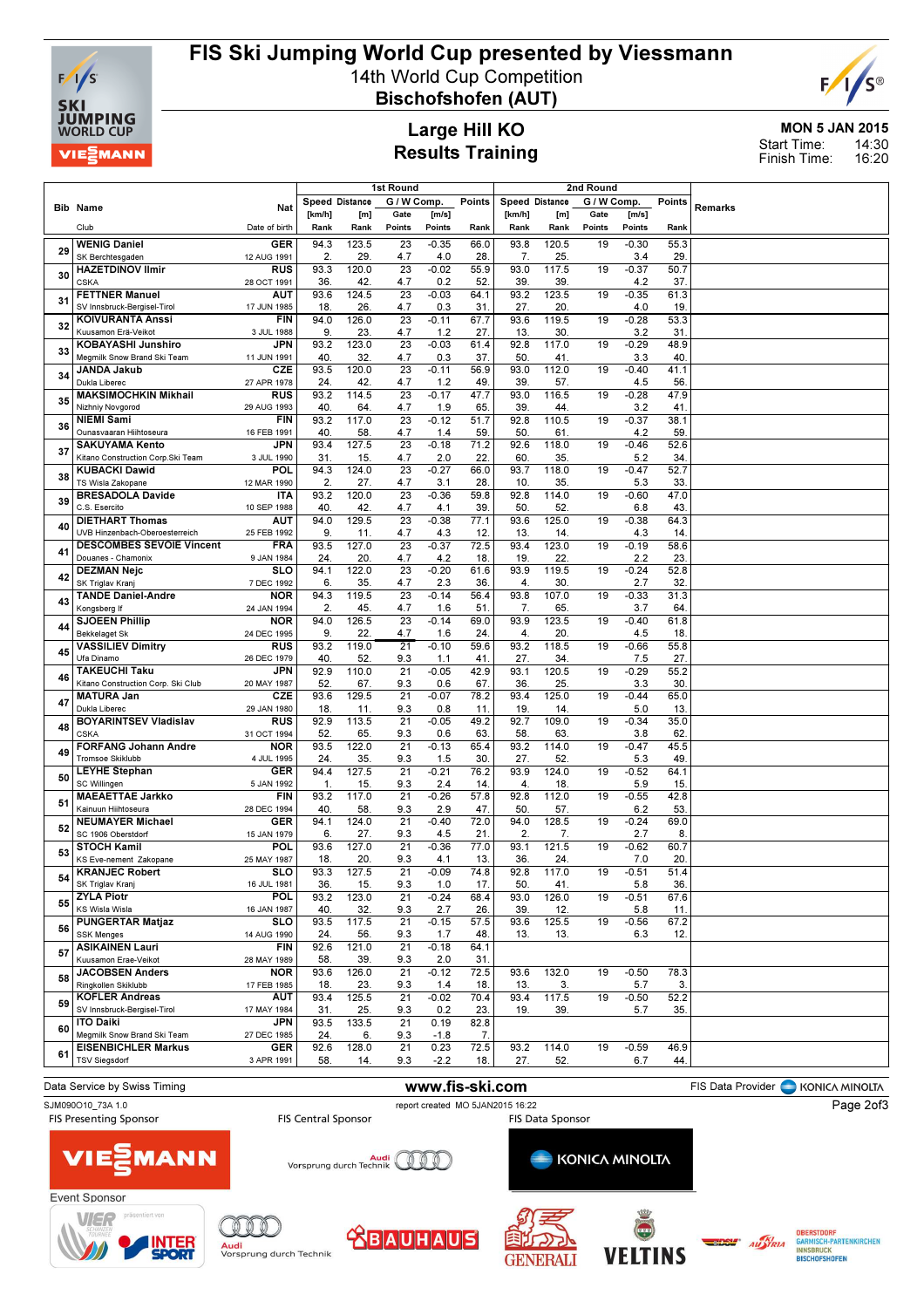

### FIS Ski Jumping World Cup presented by Viessmann 14th World Cup Competition

Bischofshofen (AUT)



MON 5 JAN 2015 Start Time:

#### Large Hill KO Results Training

14:30 16:20 Finish Time:

| G / W Comp.<br>G / W Comp.<br>Speed Distance<br>Points<br><b>Speed Distance</b><br>Points<br>Remarks<br><b>Bib Name</b><br>Nat<br>[ $km/h$ ]<br>[m]<br>Gate<br>[m/s]<br>[km/h]<br>[m]<br>Gate<br>[m/s]<br>Club<br>Date of birth<br>Rank<br>Points<br>Points<br>Rank<br>Rank<br>Rank<br>Points<br>Points<br>Rank<br>Rank<br>123.5<br>$-0.35$<br>66.0<br>93.8<br>$-0.30$<br><b>WENIG Daniel</b><br><b>GER</b><br>94.3<br>23<br>120.5<br>19<br>55.3<br>29<br>2.<br>29.<br>4.7<br>4.0<br>28.<br>25.<br>3.4<br>29.<br>SK Berchtesgaden<br>7.<br>12 AUG 1991<br>93.3<br>120.0<br>23<br>$-0.02$<br>55.9<br>93.0<br>117.5<br>$-0.37$<br>50.7<br><b>HAZETDINOV Ilmir</b><br><b>RUS</b><br>19<br>30<br><b>CSKA</b><br>36.<br>42.<br>4.7<br>0.2<br>52.<br>39<br>39<br>4.2<br>37.<br>28 OCT 1991<br>93.6<br>124.5<br>23<br>$-0.03$<br>93.2<br>123.5<br>$-0.35$<br>61.3<br><b>FETTNER Manuel</b><br>AUT<br>64.1<br>19<br>31<br>SV Innsbruck-Bergisel-Tirol<br>18.<br>26.<br>4.7<br>0.3<br>27.<br>20.<br>4.0<br>19<br>17 JUN 1985<br>31<br><b>KOIVURANTA Anssi</b><br><b>FIN</b><br>94.0<br>126.0<br>23<br>$-0.11$<br>67.7<br>93.6<br>119.5<br>$-0.28$<br>53.3<br>19<br>32<br>9.<br>23.<br>4.7<br>30.<br>31<br>Kuusamon Erä-Veikot<br>3 JUL 1988<br>1.2<br>27.<br>13.<br>3.2<br>KOBAYASHI Junshiro<br>JPN<br>93.2<br>123.0<br>23<br>$-0.03$<br>92.8<br>117.0<br>$-0.29$<br>48.9<br>61.4<br>19<br>33<br>Megmilk Snow Brand Ski Team<br>40<br>32.<br>4.7<br>0.3<br>37.<br>50.<br>41<br>3.3<br>40<br>11 JUN 1991<br><b>JANDA Jakub</b><br><b>CZE</b><br>93.5<br>120.0<br>23<br>56.9<br>93.0<br>112.0<br>41.1<br>$-0.11$<br>19<br>$-0.40$<br>34<br>Dukla Liberec<br>27 APR 1978<br>24.<br>42.<br>4.7<br>49.<br>39.<br>57.<br>4.5<br>56<br>1.2<br><b>MAKSIMOCHKIN Mikhail</b><br><b>RUS</b><br>114.5<br>$\overline{23}$<br>93.2<br>$-0.17$<br>47.7<br>93.0<br>116.5<br>$-0.28$<br>47.9<br>19<br>35<br>Nizhniy Novgorod<br>40<br>64<br>65.<br>39.<br>29 AUG 1993<br>4.7<br>1.9<br>44.<br>3.2<br>41<br>93.2<br>117.0<br>23<br>$-0.12$<br>51.7<br>92.8<br>110.5<br>$-0.37$<br>38.1<br><b>NIEMI Sami</b><br><b>FIN</b><br>19<br>36<br>40<br>58.<br>4.7<br>59.<br>50.<br>61<br>59<br>Ounasvaaran Hiihtoseura<br>16 FEB 1991<br>1.4<br>4.2<br>93.4<br>127.5<br>$\overline{23}$<br>$-0.18$<br>92.6<br>118.0<br>19<br>$-0.46$<br>52.6<br><b>SAKUYAMA Kento</b><br><b>JPN</b><br>71.2<br>37<br>31.<br>15.<br>4.7<br>2.0<br>22.<br>60.<br>35.<br>5.2<br>34<br>Kitano Construction Corp. Ski Team<br>3 JUL 1990<br>94.3<br>124.0<br>$\overline{23}$<br>$-0.27$<br>93.7<br>118.0<br>$-0.47$<br>52.7<br><b>KUBACKI Dawid</b><br>POL<br>66.0<br>19<br>38<br>TS Wisla Zakopane<br>2.<br>27.<br>4.7<br>3.1<br>28.<br>10.<br>35<br>33<br>12 MAR 1990<br>5.3<br><b>BRESADOLA Davide</b><br>93.2<br>120.0<br>23<br>$-0.36$<br>59.8<br>92.8<br>114.0<br>$-0.60$<br>47.0<br><b>ITA</b><br>19<br>39<br>C.S. Esercito<br>40<br>42.<br>4.7<br>39.<br>50.<br>52.<br>43<br>10 SEP 1988<br>4.1<br>6.8<br>94.0<br>129.5<br>23<br>$-0.38$<br>77.1<br>93.6<br>125.0<br>19<br>$-0.38$<br>64.3<br><b>DIETHART Thomas</b><br>AUT<br>40<br>UVB Hinzenbach-Oberoesterreich<br>9.<br>4.7<br>4.3<br>12.<br>13.<br>4.3<br>14<br>25 FEB 1992<br>11.<br>14.<br><b>DESCOMBES SEVOIE Vincent</b><br><b>FRA</b><br>93.5<br>127.0<br>23<br>$-0.37$<br>72.5<br>93.4<br>123.0<br>$-0.19$<br>58.6<br>19<br>41<br>Douanes - Chamonix<br>4.7<br>9 JAN 1984<br>24.<br>20.<br>4.2<br>18.<br>19.<br>22.<br>2.2<br>23.<br><b>DEZMAN Nejc</b><br>SLO<br>94.1<br>122.0<br>23<br>$-0.20$<br>61.6<br>93.9<br>119.5<br>$-0.24$<br>52.8<br>19<br>42<br>6.<br>35.<br>2.3<br>36.<br>4.<br>30.<br>2.7<br>32<br>SK Triglav Kranj<br>7 DEC 1992<br>4.7<br><b>TANDE Daniel-Andre</b><br>23<br>93.8<br><b>NOR</b><br>94.3<br>119.5<br>$-0.14$<br>56.4<br>107.0<br>$-0.33$<br>31.3<br>19<br>43<br>2<br>45.<br>4.7<br>1.6<br>51<br>7.<br>65.<br>3.7<br>64<br>Konasbera If<br>24 JAN 1994<br><b>SJOEEN Phillip</b><br>126.5<br>23<br><b>NOR</b><br>94.0<br>$-0.14$<br>69.0<br>93.9<br>123.5<br>$-0.40$<br>61.8<br>19<br>44<br><b>Bekkelaget Sk</b><br>9.<br>22.<br>4.7<br>20.<br>18<br>24 DEC 1995<br>1.6<br>24.<br>4.<br>4.5<br><b>VASSILIEV Dimitry</b><br><b>RUS</b><br>93.2<br>119.0<br>$\overline{21}$<br>$-0.10$<br>59.6<br>93.2<br>118.5<br>$-0.66$<br>55.8<br>19<br>45<br>Ufa Dinamo<br>40<br>52.<br>9.3<br>27.<br>34.<br>27.<br>26 DEC 1979<br>1.1<br>41<br>7.5<br><b>TAKEUCHI Taku</b><br><b>JPN</b><br>92.9<br>110.0<br>$\overline{21}$<br>$-0.05$<br>42.9<br>93.1<br>120.5<br>19<br>$-0.29$<br>55.2<br>46<br>Kitano Construction Corp. Ski Club<br>52.<br>67.<br>9.3<br>0.6<br>67.<br>36.<br>25.<br>3.3<br>30<br>20 MAY 1987<br>93.6<br>129.5<br>$\overline{21}$<br>78.2<br>93.4<br>125.0<br>65.0<br><b>MATURA Jan</b><br><b>CZE</b><br>$-0.07$<br>19<br>$-0.44$<br>47<br>Dukla Liberec<br>11.<br>9.3<br>0.8<br>19.<br>5.0<br>13.<br>29 JAN 1980<br>18.<br>11.<br>14.<br><b>BOYARINTSEV Vladislav</b><br>92.9<br>113.5<br>$\overline{21}$<br>$-0.05$<br>49.2<br>92.7<br>109.0<br>$-0.34$<br>35.0<br><b>RUS</b><br>19<br>48<br><b>CSKA</b><br>52.<br>65.<br>9.3<br>63.<br>58<br>62<br>31 OCT 1994<br>0.6<br>63.<br>3.8<br><b>FORFANG Johann Andre</b><br>93.5<br>122.0<br>$\overline{21}$<br>$-0.13$<br>65.4<br>93.2<br>114.0<br>$-0.47$<br>45.5<br><b>NOR</b><br>19<br>49<br><b>Tromsoe Skiklubb</b><br>24.<br>35.<br>9.3<br>1.5<br>30<br>27.<br>52.<br>5.3<br>49<br>4 JUL 1995<br>94.4<br>127.5<br>21<br>$-0.21$<br>93.9<br><b>LEYHE Stephan</b><br><b>GER</b><br>76.2<br>124.0<br>19<br>$-0.52$<br>64.1<br>50<br>SC Willingen<br>15.<br>9.3<br>2.4<br>14.<br>18.<br>5.9<br>15<br>5 JAN 1992<br>$\mathbf{1}$<br>4.<br>117.0<br>21<br><b>MAEAETTAE Jarkko</b><br><b>FIN</b><br>93.2<br>$-0.26$<br>57.8<br>92.8<br>112.0<br>19<br>$-0.55$<br>42.8<br>51<br>Kainuun Hiihtoseura<br>40<br>58.<br>9.3<br>2.9<br>47.<br>50.<br>57.<br>6.2<br>53<br>28 DEC 1994<br>GER<br>$-0.40$<br><b>NEUMAYER Michael</b><br>94.1<br>124.0<br>21<br>72.0<br>94.0<br>128.5<br>$-0.24$<br>69.0<br>19<br>52<br>SC 1906 Oberstdorf<br>27.<br>9.3<br>4.5<br>2.<br>8<br>15 JAN 1979<br>6.<br>21<br>7.<br>2.7<br><b>STOCH Kamil</b><br><b>POL</b><br>127.0<br>121.5<br>93.6<br>21<br>$-0.36$<br>77.0<br>93.1<br>19<br>$-0.62$<br>60.7<br>53<br>18.<br>20.<br>9.3<br>13.<br>36.<br>20<br>KS Eve-nement Zakopane<br>25 MAY 1987<br>4.1<br>24.<br>7.0<br><b>KRANJEC Robert</b><br>SLO<br>93.3<br>127.5<br>21<br>$-0.09$<br>74.8<br>92.8<br>117.0<br>19<br>$-0.51$<br>51.4<br>SK Triglav Kranj<br>16 JUL 1981<br>9.3<br>1.0<br>41.<br>5.8<br>36.<br>36.<br>15.<br>17.<br>50.<br><b>ZYLA Piotr</b><br><b>POL</b><br>93.2<br>123.0<br>21<br>$-0.24$<br>126.0<br>67.6<br>68.4<br>93.0<br>19<br>$-0.51$<br>55<br>KS Wisla Wisla<br>16 JAN 1987<br>40<br>26.<br>32.<br>9.3<br>2.7<br>39.<br>12.<br>5.8<br>11.<br>93.5<br>117.5<br>125.5<br>67.2<br><b>PUNGERTAR Matjaz</b><br>21<br>$-0.15$<br>57.5<br>93.6<br>19<br>$-0.56$<br><b>SLO</b><br>56<br><b>SSK Menges</b><br>14 AUG 1990<br>24.<br>9.3<br>1.7<br>48.<br>13.<br>12.<br>56.<br>13.<br>6.3<br><b>ASIKAINEN Lauri</b><br>92.6<br>121.0<br>$\overline{21}$<br>$-0.18$<br><b>FIN</b><br>64.1<br>57<br>Kuusamon Erae-Veikot<br>9.3<br>28 MAY 1989<br>58.<br>39.<br>2.0<br>31.<br>93.6<br>126.0<br>21<br>$-0.12$<br>72.5<br>132.0<br>$-0.50$<br>78.3<br><b>JACOBSEN Anders</b><br><b>NOR</b><br>93.6<br>19<br>58<br>Ringkollen Skiklubb<br>18.<br>23.<br>9.3<br>1.4<br>18.<br>13.<br>3.<br>5.7<br>3.<br>17 FEB 1985<br>93.4<br>125.5<br>$\overline{21}$<br>$-0.02$<br>70.4<br>93.4<br>117.5<br>19<br>$-0.50$<br>52.2<br><b>KOFLER Andreas</b><br>AUT<br>59<br>SV Innsbruck-Bergisel-Tirol<br>31.<br>5.7<br>35.<br>25.<br>9.3<br>0.2<br>23.<br>19.<br>39.<br>17 MAY 1984<br><b>ITO Daiki</b><br><b>JPN</b><br>93.5<br>133.5<br>21<br>0.19<br>82.8<br>60<br>Megmilk Snow Brand Ski Team<br>24.<br>9.3<br>7.<br>27 DEC 1985<br>6.<br>$-1.8$<br><b>EISENBICHLER Markus</b><br>92.6<br>21<br>0.23<br>72.5<br>GER<br>128.0<br>93.2<br>114.0<br>19<br>$-0.59$<br>46.9<br>61<br><b>TSV Siegsdorf</b><br>58.<br>9.3<br>$-2.2$<br>44.<br>3 APR 1991<br>14.<br>18.<br>27.<br>52.<br>6.7 |  | 1st Round |  |  |  |  | 2nd Round |  |  |  |  |  |
|-------------------------------------------------------------------------------------------------------------------------------------------------------------------------------------------------------------------------------------------------------------------------------------------------------------------------------------------------------------------------------------------------------------------------------------------------------------------------------------------------------------------------------------------------------------------------------------------------------------------------------------------------------------------------------------------------------------------------------------------------------------------------------------------------------------------------------------------------------------------------------------------------------------------------------------------------------------------------------------------------------------------------------------------------------------------------------------------------------------------------------------------------------------------------------------------------------------------------------------------------------------------------------------------------------------------------------------------------------------------------------------------------------------------------------------------------------------------------------------------------------------------------------------------------------------------------------------------------------------------------------------------------------------------------------------------------------------------------------------------------------------------------------------------------------------------------------------------------------------------------------------------------------------------------------------------------------------------------------------------------------------------------------------------------------------------------------------------------------------------------------------------------------------------------------------------------------------------------------------------------------------------------------------------------------------------------------------------------------------------------------------------------------------------------------------------------------------------------------------------------------------------------------------------------------------------------------------------------------------------------------------------------------------------------------------------------------------------------------------------------------------------------------------------------------------------------------------------------------------------------------------------------------------------------------------------------------------------------------------------------------------------------------------------------------------------------------------------------------------------------------------------------------------------------------------------------------------------------------------------------------------------------------------------------------------------------------------------------------------------------------------------------------------------------------------------------------------------------------------------------------------------------------------------------------------------------------------------------------------------------------------------------------------------------------------------------------------------------------------------------------------------------------------------------------------------------------------------------------------------------------------------------------------------------------------------------------------------------------------------------------------------------------------------------------------------------------------------------------------------------------------------------------------------------------------------------------------------------------------------------------------------------------------------------------------------------------------------------------------------------------------------------------------------------------------------------------------------------------------------------------------------------------------------------------------------------------------------------------------------------------------------------------------------------------------------------------------------------------------------------------------------------------------------------------------------------------------------------------------------------------------------------------------------------------------------------------------------------------------------------------------------------------------------------------------------------------------------------------------------------------------------------------------------------------------------------------------------------------------------------------------------------------------------------------------------------------------------------------------------------------------------------------------------------------------------------------------------------------------------------------------------------------------------------------------------------------------------------------------------------------------------------------------------------------------------------------------------------------------------------------------------------------------------------------------------------------------------------------------------------------------------------------------------------------------------------------------------------------------------------------------------------------------------------------------------------------------------------------------------------------------------------------------------------------------------------------------------------------------------------------------------------------------------------------------------------------------------------------------------------------------------------------------------------------------------------------------------------------------------------------------------------------------------------------------------------------------------------------------------------------------------------------------------------------------------------------------------------------------------------------------------------------------------------------------------------------------------------------------------------------------------------------------------------------------------------------------------------------------------------------------------------------------------------------------------------------------------------------------------------------------------------------------------------------------------------------------------------------------------------------------------------------------------------------------------------------------------------------------------------------------------------------------------------------------------------------------------------------------------------------------------------------------------------------------------------------------------------------------------------------------------------------------------------------------------------------------------------------------------------------------------------------------------------------------------------------------------------------------------------------------------------------------------------------------------------------------------------------------------------------------------------------------------------------------------------------------------------------------------|--|-----------|--|--|--|--|-----------|--|--|--|--|--|
|                                                                                                                                                                                                                                                                                                                                                                                                                                                                                                                                                                                                                                                                                                                                                                                                                                                                                                                                                                                                                                                                                                                                                                                                                                                                                                                                                                                                                                                                                                                                                                                                                                                                                                                                                                                                                                                                                                                                                                                                                                                                                                                                                                                                                                                                                                                                                                                                                                                                                                                                                                                                                                                                                                                                                                                                                                                                                                                                                                                                                                                                                                                                                                                                                                                                                                                                                                                                                                                                                                                                                                                                                                                                                                                                                                                                                                                                                                                                                                                                                                                                                                                                                                                                                                                                                                                                                                                                                                                                                                                                                                                                                                                                                                                                                                                                                                                                                                                                                                                                                                                                                                                                                                                                                                                                                                                                                                                                                                                                                                                                                                                                                                                                                                                                                                                                                                                                                                                                                                                                                                                                                                                                                                                                                                                                                                                                                                                                                                                                                                                                                                                                                                                                                                                                                                                                                                                                                                                                                                                                                                                                                                                                                                                                                                                                                                                                                                                                                                                                                                                                                                                                                                                                                                                                                                                                                                                                                                                                                                                                                                                                                                                   |  |           |  |  |  |  |           |  |  |  |  |  |
|                                                                                                                                                                                                                                                                                                                                                                                                                                                                                                                                                                                                                                                                                                                                                                                                                                                                                                                                                                                                                                                                                                                                                                                                                                                                                                                                                                                                                                                                                                                                                                                                                                                                                                                                                                                                                                                                                                                                                                                                                                                                                                                                                                                                                                                                                                                                                                                                                                                                                                                                                                                                                                                                                                                                                                                                                                                                                                                                                                                                                                                                                                                                                                                                                                                                                                                                                                                                                                                                                                                                                                                                                                                                                                                                                                                                                                                                                                                                                                                                                                                                                                                                                                                                                                                                                                                                                                                                                                                                                                                                                                                                                                                                                                                                                                                                                                                                                                                                                                                                                                                                                                                                                                                                                                                                                                                                                                                                                                                                                                                                                                                                                                                                                                                                                                                                                                                                                                                                                                                                                                                                                                                                                                                                                                                                                                                                                                                                                                                                                                                                                                                                                                                                                                                                                                                                                                                                                                                                                                                                                                                                                                                                                                                                                                                                                                                                                                                                                                                                                                                                                                                                                                                                                                                                                                                                                                                                                                                                                                                                                                                                                                                   |  |           |  |  |  |  |           |  |  |  |  |  |
|                                                                                                                                                                                                                                                                                                                                                                                                                                                                                                                                                                                                                                                                                                                                                                                                                                                                                                                                                                                                                                                                                                                                                                                                                                                                                                                                                                                                                                                                                                                                                                                                                                                                                                                                                                                                                                                                                                                                                                                                                                                                                                                                                                                                                                                                                                                                                                                                                                                                                                                                                                                                                                                                                                                                                                                                                                                                                                                                                                                                                                                                                                                                                                                                                                                                                                                                                                                                                                                                                                                                                                                                                                                                                                                                                                                                                                                                                                                                                                                                                                                                                                                                                                                                                                                                                                                                                                                                                                                                                                                                                                                                                                                                                                                                                                                                                                                                                                                                                                                                                                                                                                                                                                                                                                                                                                                                                                                                                                                                                                                                                                                                                                                                                                                                                                                                                                                                                                                                                                                                                                                                                                                                                                                                                                                                                                                                                                                                                                                                                                                                                                                                                                                                                                                                                                                                                                                                                                                                                                                                                                                                                                                                                                                                                                                                                                                                                                                                                                                                                                                                                                                                                                                                                                                                                                                                                                                                                                                                                                                                                                                                                                                   |  |           |  |  |  |  |           |  |  |  |  |  |
|                                                                                                                                                                                                                                                                                                                                                                                                                                                                                                                                                                                                                                                                                                                                                                                                                                                                                                                                                                                                                                                                                                                                                                                                                                                                                                                                                                                                                                                                                                                                                                                                                                                                                                                                                                                                                                                                                                                                                                                                                                                                                                                                                                                                                                                                                                                                                                                                                                                                                                                                                                                                                                                                                                                                                                                                                                                                                                                                                                                                                                                                                                                                                                                                                                                                                                                                                                                                                                                                                                                                                                                                                                                                                                                                                                                                                                                                                                                                                                                                                                                                                                                                                                                                                                                                                                                                                                                                                                                                                                                                                                                                                                                                                                                                                                                                                                                                                                                                                                                                                                                                                                                                                                                                                                                                                                                                                                                                                                                                                                                                                                                                                                                                                                                                                                                                                                                                                                                                                                                                                                                                                                                                                                                                                                                                                                                                                                                                                                                                                                                                                                                                                                                                                                                                                                                                                                                                                                                                                                                                                                                                                                                                                                                                                                                                                                                                                                                                                                                                                                                                                                                                                                                                                                                                                                                                                                                                                                                                                                                                                                                                                                                   |  |           |  |  |  |  |           |  |  |  |  |  |
|                                                                                                                                                                                                                                                                                                                                                                                                                                                                                                                                                                                                                                                                                                                                                                                                                                                                                                                                                                                                                                                                                                                                                                                                                                                                                                                                                                                                                                                                                                                                                                                                                                                                                                                                                                                                                                                                                                                                                                                                                                                                                                                                                                                                                                                                                                                                                                                                                                                                                                                                                                                                                                                                                                                                                                                                                                                                                                                                                                                                                                                                                                                                                                                                                                                                                                                                                                                                                                                                                                                                                                                                                                                                                                                                                                                                                                                                                                                                                                                                                                                                                                                                                                                                                                                                                                                                                                                                                                                                                                                                                                                                                                                                                                                                                                                                                                                                                                                                                                                                                                                                                                                                                                                                                                                                                                                                                                                                                                                                                                                                                                                                                                                                                                                                                                                                                                                                                                                                                                                                                                                                                                                                                                                                                                                                                                                                                                                                                                                                                                                                                                                                                                                                                                                                                                                                                                                                                                                                                                                                                                                                                                                                                                                                                                                                                                                                                                                                                                                                                                                                                                                                                                                                                                                                                                                                                                                                                                                                                                                                                                                                                                                   |  |           |  |  |  |  |           |  |  |  |  |  |
|                                                                                                                                                                                                                                                                                                                                                                                                                                                                                                                                                                                                                                                                                                                                                                                                                                                                                                                                                                                                                                                                                                                                                                                                                                                                                                                                                                                                                                                                                                                                                                                                                                                                                                                                                                                                                                                                                                                                                                                                                                                                                                                                                                                                                                                                                                                                                                                                                                                                                                                                                                                                                                                                                                                                                                                                                                                                                                                                                                                                                                                                                                                                                                                                                                                                                                                                                                                                                                                                                                                                                                                                                                                                                                                                                                                                                                                                                                                                                                                                                                                                                                                                                                                                                                                                                                                                                                                                                                                                                                                                                                                                                                                                                                                                                                                                                                                                                                                                                                                                                                                                                                                                                                                                                                                                                                                                                                                                                                                                                                                                                                                                                                                                                                                                                                                                                                                                                                                                                                                                                                                                                                                                                                                                                                                                                                                                                                                                                                                                                                                                                                                                                                                                                                                                                                                                                                                                                                                                                                                                                                                                                                                                                                                                                                                                                                                                                                                                                                                                                                                                                                                                                                                                                                                                                                                                                                                                                                                                                                                                                                                                                                                   |  |           |  |  |  |  |           |  |  |  |  |  |
|                                                                                                                                                                                                                                                                                                                                                                                                                                                                                                                                                                                                                                                                                                                                                                                                                                                                                                                                                                                                                                                                                                                                                                                                                                                                                                                                                                                                                                                                                                                                                                                                                                                                                                                                                                                                                                                                                                                                                                                                                                                                                                                                                                                                                                                                                                                                                                                                                                                                                                                                                                                                                                                                                                                                                                                                                                                                                                                                                                                                                                                                                                                                                                                                                                                                                                                                                                                                                                                                                                                                                                                                                                                                                                                                                                                                                                                                                                                                                                                                                                                                                                                                                                                                                                                                                                                                                                                                                                                                                                                                                                                                                                                                                                                                                                                                                                                                                                                                                                                                                                                                                                                                                                                                                                                                                                                                                                                                                                                                                                                                                                                                                                                                                                                                                                                                                                                                                                                                                                                                                                                                                                                                                                                                                                                                                                                                                                                                                                                                                                                                                                                                                                                                                                                                                                                                                                                                                                                                                                                                                                                                                                                                                                                                                                                                                                                                                                                                                                                                                                                                                                                                                                                                                                                                                                                                                                                                                                                                                                                                                                                                                                                   |  |           |  |  |  |  |           |  |  |  |  |  |
|                                                                                                                                                                                                                                                                                                                                                                                                                                                                                                                                                                                                                                                                                                                                                                                                                                                                                                                                                                                                                                                                                                                                                                                                                                                                                                                                                                                                                                                                                                                                                                                                                                                                                                                                                                                                                                                                                                                                                                                                                                                                                                                                                                                                                                                                                                                                                                                                                                                                                                                                                                                                                                                                                                                                                                                                                                                                                                                                                                                                                                                                                                                                                                                                                                                                                                                                                                                                                                                                                                                                                                                                                                                                                                                                                                                                                                                                                                                                                                                                                                                                                                                                                                                                                                                                                                                                                                                                                                                                                                                                                                                                                                                                                                                                                                                                                                                                                                                                                                                                                                                                                                                                                                                                                                                                                                                                                                                                                                                                                                                                                                                                                                                                                                                                                                                                                                                                                                                                                                                                                                                                                                                                                                                                                                                                                                                                                                                                                                                                                                                                                                                                                                                                                                                                                                                                                                                                                                                                                                                                                                                                                                                                                                                                                                                                                                                                                                                                                                                                                                                                                                                                                                                                                                                                                                                                                                                                                                                                                                                                                                                                                                                   |  |           |  |  |  |  |           |  |  |  |  |  |
|                                                                                                                                                                                                                                                                                                                                                                                                                                                                                                                                                                                                                                                                                                                                                                                                                                                                                                                                                                                                                                                                                                                                                                                                                                                                                                                                                                                                                                                                                                                                                                                                                                                                                                                                                                                                                                                                                                                                                                                                                                                                                                                                                                                                                                                                                                                                                                                                                                                                                                                                                                                                                                                                                                                                                                                                                                                                                                                                                                                                                                                                                                                                                                                                                                                                                                                                                                                                                                                                                                                                                                                                                                                                                                                                                                                                                                                                                                                                                                                                                                                                                                                                                                                                                                                                                                                                                                                                                                                                                                                                                                                                                                                                                                                                                                                                                                                                                                                                                                                                                                                                                                                                                                                                                                                                                                                                                                                                                                                                                                                                                                                                                                                                                                                                                                                                                                                                                                                                                                                                                                                                                                                                                                                                                                                                                                                                                                                                                                                                                                                                                                                                                                                                                                                                                                                                                                                                                                                                                                                                                                                                                                                                                                                                                                                                                                                                                                                                                                                                                                                                                                                                                                                                                                                                                                                                                                                                                                                                                                                                                                                                                                                   |  |           |  |  |  |  |           |  |  |  |  |  |
|                                                                                                                                                                                                                                                                                                                                                                                                                                                                                                                                                                                                                                                                                                                                                                                                                                                                                                                                                                                                                                                                                                                                                                                                                                                                                                                                                                                                                                                                                                                                                                                                                                                                                                                                                                                                                                                                                                                                                                                                                                                                                                                                                                                                                                                                                                                                                                                                                                                                                                                                                                                                                                                                                                                                                                                                                                                                                                                                                                                                                                                                                                                                                                                                                                                                                                                                                                                                                                                                                                                                                                                                                                                                                                                                                                                                                                                                                                                                                                                                                                                                                                                                                                                                                                                                                                                                                                                                                                                                                                                                                                                                                                                                                                                                                                                                                                                                                                                                                                                                                                                                                                                                                                                                                                                                                                                                                                                                                                                                                                                                                                                                                                                                                                                                                                                                                                                                                                                                                                                                                                                                                                                                                                                                                                                                                                                                                                                                                                                                                                                                                                                                                                                                                                                                                                                                                                                                                                                                                                                                                                                                                                                                                                                                                                                                                                                                                                                                                                                                                                                                                                                                                                                                                                                                                                                                                                                                                                                                                                                                                                                                                                                   |  |           |  |  |  |  |           |  |  |  |  |  |
|                                                                                                                                                                                                                                                                                                                                                                                                                                                                                                                                                                                                                                                                                                                                                                                                                                                                                                                                                                                                                                                                                                                                                                                                                                                                                                                                                                                                                                                                                                                                                                                                                                                                                                                                                                                                                                                                                                                                                                                                                                                                                                                                                                                                                                                                                                                                                                                                                                                                                                                                                                                                                                                                                                                                                                                                                                                                                                                                                                                                                                                                                                                                                                                                                                                                                                                                                                                                                                                                                                                                                                                                                                                                                                                                                                                                                                                                                                                                                                                                                                                                                                                                                                                                                                                                                                                                                                                                                                                                                                                                                                                                                                                                                                                                                                                                                                                                                                                                                                                                                                                                                                                                                                                                                                                                                                                                                                                                                                                                                                                                                                                                                                                                                                                                                                                                                                                                                                                                                                                                                                                                                                                                                                                                                                                                                                                                                                                                                                                                                                                                                                                                                                                                                                                                                                                                                                                                                                                                                                                                                                                                                                                                                                                                                                                                                                                                                                                                                                                                                                                                                                                                                                                                                                                                                                                                                                                                                                                                                                                                                                                                                                                   |  |           |  |  |  |  |           |  |  |  |  |  |
|                                                                                                                                                                                                                                                                                                                                                                                                                                                                                                                                                                                                                                                                                                                                                                                                                                                                                                                                                                                                                                                                                                                                                                                                                                                                                                                                                                                                                                                                                                                                                                                                                                                                                                                                                                                                                                                                                                                                                                                                                                                                                                                                                                                                                                                                                                                                                                                                                                                                                                                                                                                                                                                                                                                                                                                                                                                                                                                                                                                                                                                                                                                                                                                                                                                                                                                                                                                                                                                                                                                                                                                                                                                                                                                                                                                                                                                                                                                                                                                                                                                                                                                                                                                                                                                                                                                                                                                                                                                                                                                                                                                                                                                                                                                                                                                                                                                                                                                                                                                                                                                                                                                                                                                                                                                                                                                                                                                                                                                                                                                                                                                                                                                                                                                                                                                                                                                                                                                                                                                                                                                                                                                                                                                                                                                                                                                                                                                                                                                                                                                                                                                                                                                                                                                                                                                                                                                                                                                                                                                                                                                                                                                                                                                                                                                                                                                                                                                                                                                                                                                                                                                                                                                                                                                                                                                                                                                                                                                                                                                                                                                                                                                   |  |           |  |  |  |  |           |  |  |  |  |  |
|                                                                                                                                                                                                                                                                                                                                                                                                                                                                                                                                                                                                                                                                                                                                                                                                                                                                                                                                                                                                                                                                                                                                                                                                                                                                                                                                                                                                                                                                                                                                                                                                                                                                                                                                                                                                                                                                                                                                                                                                                                                                                                                                                                                                                                                                                                                                                                                                                                                                                                                                                                                                                                                                                                                                                                                                                                                                                                                                                                                                                                                                                                                                                                                                                                                                                                                                                                                                                                                                                                                                                                                                                                                                                                                                                                                                                                                                                                                                                                                                                                                                                                                                                                                                                                                                                                                                                                                                                                                                                                                                                                                                                                                                                                                                                                                                                                                                                                                                                                                                                                                                                                                                                                                                                                                                                                                                                                                                                                                                                                                                                                                                                                                                                                                                                                                                                                                                                                                                                                                                                                                                                                                                                                                                                                                                                                                                                                                                                                                                                                                                                                                                                                                                                                                                                                                                                                                                                                                                                                                                                                                                                                                                                                                                                                                                                                                                                                                                                                                                                                                                                                                                                                                                                                                                                                                                                                                                                                                                                                                                                                                                                                                   |  |           |  |  |  |  |           |  |  |  |  |  |
|                                                                                                                                                                                                                                                                                                                                                                                                                                                                                                                                                                                                                                                                                                                                                                                                                                                                                                                                                                                                                                                                                                                                                                                                                                                                                                                                                                                                                                                                                                                                                                                                                                                                                                                                                                                                                                                                                                                                                                                                                                                                                                                                                                                                                                                                                                                                                                                                                                                                                                                                                                                                                                                                                                                                                                                                                                                                                                                                                                                                                                                                                                                                                                                                                                                                                                                                                                                                                                                                                                                                                                                                                                                                                                                                                                                                                                                                                                                                                                                                                                                                                                                                                                                                                                                                                                                                                                                                                                                                                                                                                                                                                                                                                                                                                                                                                                                                                                                                                                                                                                                                                                                                                                                                                                                                                                                                                                                                                                                                                                                                                                                                                                                                                                                                                                                                                                                                                                                                                                                                                                                                                                                                                                                                                                                                                                                                                                                                                                                                                                                                                                                                                                                                                                                                                                                                                                                                                                                                                                                                                                                                                                                                                                                                                                                                                                                                                                                                                                                                                                                                                                                                                                                                                                                                                                                                                                                                                                                                                                                                                                                                                                                   |  |           |  |  |  |  |           |  |  |  |  |  |
|                                                                                                                                                                                                                                                                                                                                                                                                                                                                                                                                                                                                                                                                                                                                                                                                                                                                                                                                                                                                                                                                                                                                                                                                                                                                                                                                                                                                                                                                                                                                                                                                                                                                                                                                                                                                                                                                                                                                                                                                                                                                                                                                                                                                                                                                                                                                                                                                                                                                                                                                                                                                                                                                                                                                                                                                                                                                                                                                                                                                                                                                                                                                                                                                                                                                                                                                                                                                                                                                                                                                                                                                                                                                                                                                                                                                                                                                                                                                                                                                                                                                                                                                                                                                                                                                                                                                                                                                                                                                                                                                                                                                                                                                                                                                                                                                                                                                                                                                                                                                                                                                                                                                                                                                                                                                                                                                                                                                                                                                                                                                                                                                                                                                                                                                                                                                                                                                                                                                                                                                                                                                                                                                                                                                                                                                                                                                                                                                                                                                                                                                                                                                                                                                                                                                                                                                                                                                                                                                                                                                                                                                                                                                                                                                                                                                                                                                                                                                                                                                                                                                                                                                                                                                                                                                                                                                                                                                                                                                                                                                                                                                                                                   |  |           |  |  |  |  |           |  |  |  |  |  |
|                                                                                                                                                                                                                                                                                                                                                                                                                                                                                                                                                                                                                                                                                                                                                                                                                                                                                                                                                                                                                                                                                                                                                                                                                                                                                                                                                                                                                                                                                                                                                                                                                                                                                                                                                                                                                                                                                                                                                                                                                                                                                                                                                                                                                                                                                                                                                                                                                                                                                                                                                                                                                                                                                                                                                                                                                                                                                                                                                                                                                                                                                                                                                                                                                                                                                                                                                                                                                                                                                                                                                                                                                                                                                                                                                                                                                                                                                                                                                                                                                                                                                                                                                                                                                                                                                                                                                                                                                                                                                                                                                                                                                                                                                                                                                                                                                                                                                                                                                                                                                                                                                                                                                                                                                                                                                                                                                                                                                                                                                                                                                                                                                                                                                                                                                                                                                                                                                                                                                                                                                                                                                                                                                                                                                                                                                                                                                                                                                                                                                                                                                                                                                                                                                                                                                                                                                                                                                                                                                                                                                                                                                                                                                                                                                                                                                                                                                                                                                                                                                                                                                                                                                                                                                                                                                                                                                                                                                                                                                                                                                                                                                                                   |  |           |  |  |  |  |           |  |  |  |  |  |
|                                                                                                                                                                                                                                                                                                                                                                                                                                                                                                                                                                                                                                                                                                                                                                                                                                                                                                                                                                                                                                                                                                                                                                                                                                                                                                                                                                                                                                                                                                                                                                                                                                                                                                                                                                                                                                                                                                                                                                                                                                                                                                                                                                                                                                                                                                                                                                                                                                                                                                                                                                                                                                                                                                                                                                                                                                                                                                                                                                                                                                                                                                                                                                                                                                                                                                                                                                                                                                                                                                                                                                                                                                                                                                                                                                                                                                                                                                                                                                                                                                                                                                                                                                                                                                                                                                                                                                                                                                                                                                                                                                                                                                                                                                                                                                                                                                                                                                                                                                                                                                                                                                                                                                                                                                                                                                                                                                                                                                                                                                                                                                                                                                                                                                                                                                                                                                                                                                                                                                                                                                                                                                                                                                                                                                                                                                                                                                                                                                                                                                                                                                                                                                                                                                                                                                                                                                                                                                                                                                                                                                                                                                                                                                                                                                                                                                                                                                                                                                                                                                                                                                                                                                                                                                                                                                                                                                                                                                                                                                                                                                                                                                                   |  |           |  |  |  |  |           |  |  |  |  |  |
|                                                                                                                                                                                                                                                                                                                                                                                                                                                                                                                                                                                                                                                                                                                                                                                                                                                                                                                                                                                                                                                                                                                                                                                                                                                                                                                                                                                                                                                                                                                                                                                                                                                                                                                                                                                                                                                                                                                                                                                                                                                                                                                                                                                                                                                                                                                                                                                                                                                                                                                                                                                                                                                                                                                                                                                                                                                                                                                                                                                                                                                                                                                                                                                                                                                                                                                                                                                                                                                                                                                                                                                                                                                                                                                                                                                                                                                                                                                                                                                                                                                                                                                                                                                                                                                                                                                                                                                                                                                                                                                                                                                                                                                                                                                                                                                                                                                                                                                                                                                                                                                                                                                                                                                                                                                                                                                                                                                                                                                                                                                                                                                                                                                                                                                                                                                                                                                                                                                                                                                                                                                                                                                                                                                                                                                                                                                                                                                                                                                                                                                                                                                                                                                                                                                                                                                                                                                                                                                                                                                                                                                                                                                                                                                                                                                                                                                                                                                                                                                                                                                                                                                                                                                                                                                                                                                                                                                                                                                                                                                                                                                                                                                   |  |           |  |  |  |  |           |  |  |  |  |  |
|                                                                                                                                                                                                                                                                                                                                                                                                                                                                                                                                                                                                                                                                                                                                                                                                                                                                                                                                                                                                                                                                                                                                                                                                                                                                                                                                                                                                                                                                                                                                                                                                                                                                                                                                                                                                                                                                                                                                                                                                                                                                                                                                                                                                                                                                                                                                                                                                                                                                                                                                                                                                                                                                                                                                                                                                                                                                                                                                                                                                                                                                                                                                                                                                                                                                                                                                                                                                                                                                                                                                                                                                                                                                                                                                                                                                                                                                                                                                                                                                                                                                                                                                                                                                                                                                                                                                                                                                                                                                                                                                                                                                                                                                                                                                                                                                                                                                                                                                                                                                                                                                                                                                                                                                                                                                                                                                                                                                                                                                                                                                                                                                                                                                                                                                                                                                                                                                                                                                                                                                                                                                                                                                                                                                                                                                                                                                                                                                                                                                                                                                                                                                                                                                                                                                                                                                                                                                                                                                                                                                                                                                                                                                                                                                                                                                                                                                                                                                                                                                                                                                                                                                                                                                                                                                                                                                                                                                                                                                                                                                                                                                                                                   |  |           |  |  |  |  |           |  |  |  |  |  |
|                                                                                                                                                                                                                                                                                                                                                                                                                                                                                                                                                                                                                                                                                                                                                                                                                                                                                                                                                                                                                                                                                                                                                                                                                                                                                                                                                                                                                                                                                                                                                                                                                                                                                                                                                                                                                                                                                                                                                                                                                                                                                                                                                                                                                                                                                                                                                                                                                                                                                                                                                                                                                                                                                                                                                                                                                                                                                                                                                                                                                                                                                                                                                                                                                                                                                                                                                                                                                                                                                                                                                                                                                                                                                                                                                                                                                                                                                                                                                                                                                                                                                                                                                                                                                                                                                                                                                                                                                                                                                                                                                                                                                                                                                                                                                                                                                                                                                                                                                                                                                                                                                                                                                                                                                                                                                                                                                                                                                                                                                                                                                                                                                                                                                                                                                                                                                                                                                                                                                                                                                                                                                                                                                                                                                                                                                                                                                                                                                                                                                                                                                                                                                                                                                                                                                                                                                                                                                                                                                                                                                                                                                                                                                                                                                                                                                                                                                                                                                                                                                                                                                                                                                                                                                                                                                                                                                                                                                                                                                                                                                                                                                                                   |  |           |  |  |  |  |           |  |  |  |  |  |
|                                                                                                                                                                                                                                                                                                                                                                                                                                                                                                                                                                                                                                                                                                                                                                                                                                                                                                                                                                                                                                                                                                                                                                                                                                                                                                                                                                                                                                                                                                                                                                                                                                                                                                                                                                                                                                                                                                                                                                                                                                                                                                                                                                                                                                                                                                                                                                                                                                                                                                                                                                                                                                                                                                                                                                                                                                                                                                                                                                                                                                                                                                                                                                                                                                                                                                                                                                                                                                                                                                                                                                                                                                                                                                                                                                                                                                                                                                                                                                                                                                                                                                                                                                                                                                                                                                                                                                                                                                                                                                                                                                                                                                                                                                                                                                                                                                                                                                                                                                                                                                                                                                                                                                                                                                                                                                                                                                                                                                                                                                                                                                                                                                                                                                                                                                                                                                                                                                                                                                                                                                                                                                                                                                                                                                                                                                                                                                                                                                                                                                                                                                                                                                                                                                                                                                                                                                                                                                                                                                                                                                                                                                                                                                                                                                                                                                                                                                                                                                                                                                                                                                                                                                                                                                                                                                                                                                                                                                                                                                                                                                                                                                                   |  |           |  |  |  |  |           |  |  |  |  |  |
|                                                                                                                                                                                                                                                                                                                                                                                                                                                                                                                                                                                                                                                                                                                                                                                                                                                                                                                                                                                                                                                                                                                                                                                                                                                                                                                                                                                                                                                                                                                                                                                                                                                                                                                                                                                                                                                                                                                                                                                                                                                                                                                                                                                                                                                                                                                                                                                                                                                                                                                                                                                                                                                                                                                                                                                                                                                                                                                                                                                                                                                                                                                                                                                                                                                                                                                                                                                                                                                                                                                                                                                                                                                                                                                                                                                                                                                                                                                                                                                                                                                                                                                                                                                                                                                                                                                                                                                                                                                                                                                                                                                                                                                                                                                                                                                                                                                                                                                                                                                                                                                                                                                                                                                                                                                                                                                                                                                                                                                                                                                                                                                                                                                                                                                                                                                                                                                                                                                                                                                                                                                                                                                                                                                                                                                                                                                                                                                                                                                                                                                                                                                                                                                                                                                                                                                                                                                                                                                                                                                                                                                                                                                                                                                                                                                                                                                                                                                                                                                                                                                                                                                                                                                                                                                                                                                                                                                                                                                                                                                                                                                                                                                   |  |           |  |  |  |  |           |  |  |  |  |  |
|                                                                                                                                                                                                                                                                                                                                                                                                                                                                                                                                                                                                                                                                                                                                                                                                                                                                                                                                                                                                                                                                                                                                                                                                                                                                                                                                                                                                                                                                                                                                                                                                                                                                                                                                                                                                                                                                                                                                                                                                                                                                                                                                                                                                                                                                                                                                                                                                                                                                                                                                                                                                                                                                                                                                                                                                                                                                                                                                                                                                                                                                                                                                                                                                                                                                                                                                                                                                                                                                                                                                                                                                                                                                                                                                                                                                                                                                                                                                                                                                                                                                                                                                                                                                                                                                                                                                                                                                                                                                                                                                                                                                                                                                                                                                                                                                                                                                                                                                                                                                                                                                                                                                                                                                                                                                                                                                                                                                                                                                                                                                                                                                                                                                                                                                                                                                                                                                                                                                                                                                                                                                                                                                                                                                                                                                                                                                                                                                                                                                                                                                                                                                                                                                                                                                                                                                                                                                                                                                                                                                                                                                                                                                                                                                                                                                                                                                                                                                                                                                                                                                                                                                                                                                                                                                                                                                                                                                                                                                                                                                                                                                                                                   |  |           |  |  |  |  |           |  |  |  |  |  |
|                                                                                                                                                                                                                                                                                                                                                                                                                                                                                                                                                                                                                                                                                                                                                                                                                                                                                                                                                                                                                                                                                                                                                                                                                                                                                                                                                                                                                                                                                                                                                                                                                                                                                                                                                                                                                                                                                                                                                                                                                                                                                                                                                                                                                                                                                                                                                                                                                                                                                                                                                                                                                                                                                                                                                                                                                                                                                                                                                                                                                                                                                                                                                                                                                                                                                                                                                                                                                                                                                                                                                                                                                                                                                                                                                                                                                                                                                                                                                                                                                                                                                                                                                                                                                                                                                                                                                                                                                                                                                                                                                                                                                                                                                                                                                                                                                                                                                                                                                                                                                                                                                                                                                                                                                                                                                                                                                                                                                                                                                                                                                                                                                                                                                                                                                                                                                                                                                                                                                                                                                                                                                                                                                                                                                                                                                                                                                                                                                                                                                                                                                                                                                                                                                                                                                                                                                                                                                                                                                                                                                                                                                                                                                                                                                                                                                                                                                                                                                                                                                                                                                                                                                                                                                                                                                                                                                                                                                                                                                                                                                                                                                                                   |  |           |  |  |  |  |           |  |  |  |  |  |
|                                                                                                                                                                                                                                                                                                                                                                                                                                                                                                                                                                                                                                                                                                                                                                                                                                                                                                                                                                                                                                                                                                                                                                                                                                                                                                                                                                                                                                                                                                                                                                                                                                                                                                                                                                                                                                                                                                                                                                                                                                                                                                                                                                                                                                                                                                                                                                                                                                                                                                                                                                                                                                                                                                                                                                                                                                                                                                                                                                                                                                                                                                                                                                                                                                                                                                                                                                                                                                                                                                                                                                                                                                                                                                                                                                                                                                                                                                                                                                                                                                                                                                                                                                                                                                                                                                                                                                                                                                                                                                                                                                                                                                                                                                                                                                                                                                                                                                                                                                                                                                                                                                                                                                                                                                                                                                                                                                                                                                                                                                                                                                                                                                                                                                                                                                                                                                                                                                                                                                                                                                                                                                                                                                                                                                                                                                                                                                                                                                                                                                                                                                                                                                                                                                                                                                                                                                                                                                                                                                                                                                                                                                                                                                                                                                                                                                                                                                                                                                                                                                                                                                                                                                                                                                                                                                                                                                                                                                                                                                                                                                                                                                                   |  |           |  |  |  |  |           |  |  |  |  |  |
|                                                                                                                                                                                                                                                                                                                                                                                                                                                                                                                                                                                                                                                                                                                                                                                                                                                                                                                                                                                                                                                                                                                                                                                                                                                                                                                                                                                                                                                                                                                                                                                                                                                                                                                                                                                                                                                                                                                                                                                                                                                                                                                                                                                                                                                                                                                                                                                                                                                                                                                                                                                                                                                                                                                                                                                                                                                                                                                                                                                                                                                                                                                                                                                                                                                                                                                                                                                                                                                                                                                                                                                                                                                                                                                                                                                                                                                                                                                                                                                                                                                                                                                                                                                                                                                                                                                                                                                                                                                                                                                                                                                                                                                                                                                                                                                                                                                                                                                                                                                                                                                                                                                                                                                                                                                                                                                                                                                                                                                                                                                                                                                                                                                                                                                                                                                                                                                                                                                                                                                                                                                                                                                                                                                                                                                                                                                                                                                                                                                                                                                                                                                                                                                                                                                                                                                                                                                                                                                                                                                                                                                                                                                                                                                                                                                                                                                                                                                                                                                                                                                                                                                                                                                                                                                                                                                                                                                                                                                                                                                                                                                                                                                   |  |           |  |  |  |  |           |  |  |  |  |  |
|                                                                                                                                                                                                                                                                                                                                                                                                                                                                                                                                                                                                                                                                                                                                                                                                                                                                                                                                                                                                                                                                                                                                                                                                                                                                                                                                                                                                                                                                                                                                                                                                                                                                                                                                                                                                                                                                                                                                                                                                                                                                                                                                                                                                                                                                                                                                                                                                                                                                                                                                                                                                                                                                                                                                                                                                                                                                                                                                                                                                                                                                                                                                                                                                                                                                                                                                                                                                                                                                                                                                                                                                                                                                                                                                                                                                                                                                                                                                                                                                                                                                                                                                                                                                                                                                                                                                                                                                                                                                                                                                                                                                                                                                                                                                                                                                                                                                                                                                                                                                                                                                                                                                                                                                                                                                                                                                                                                                                                                                                                                                                                                                                                                                                                                                                                                                                                                                                                                                                                                                                                                                                                                                                                                                                                                                                                                                                                                                                                                                                                                                                                                                                                                                                                                                                                                                                                                                                                                                                                                                                                                                                                                                                                                                                                                                                                                                                                                                                                                                                                                                                                                                                                                                                                                                                                                                                                                                                                                                                                                                                                                                                                                   |  |           |  |  |  |  |           |  |  |  |  |  |
|                                                                                                                                                                                                                                                                                                                                                                                                                                                                                                                                                                                                                                                                                                                                                                                                                                                                                                                                                                                                                                                                                                                                                                                                                                                                                                                                                                                                                                                                                                                                                                                                                                                                                                                                                                                                                                                                                                                                                                                                                                                                                                                                                                                                                                                                                                                                                                                                                                                                                                                                                                                                                                                                                                                                                                                                                                                                                                                                                                                                                                                                                                                                                                                                                                                                                                                                                                                                                                                                                                                                                                                                                                                                                                                                                                                                                                                                                                                                                                                                                                                                                                                                                                                                                                                                                                                                                                                                                                                                                                                                                                                                                                                                                                                                                                                                                                                                                                                                                                                                                                                                                                                                                                                                                                                                                                                                                                                                                                                                                                                                                                                                                                                                                                                                                                                                                                                                                                                                                                                                                                                                                                                                                                                                                                                                                                                                                                                                                                                                                                                                                                                                                                                                                                                                                                                                                                                                                                                                                                                                                                                                                                                                                                                                                                                                                                                                                                                                                                                                                                                                                                                                                                                                                                                                                                                                                                                                                                                                                                                                                                                                                                                   |  |           |  |  |  |  |           |  |  |  |  |  |
|                                                                                                                                                                                                                                                                                                                                                                                                                                                                                                                                                                                                                                                                                                                                                                                                                                                                                                                                                                                                                                                                                                                                                                                                                                                                                                                                                                                                                                                                                                                                                                                                                                                                                                                                                                                                                                                                                                                                                                                                                                                                                                                                                                                                                                                                                                                                                                                                                                                                                                                                                                                                                                                                                                                                                                                                                                                                                                                                                                                                                                                                                                                                                                                                                                                                                                                                                                                                                                                                                                                                                                                                                                                                                                                                                                                                                                                                                                                                                                                                                                                                                                                                                                                                                                                                                                                                                                                                                                                                                                                                                                                                                                                                                                                                                                                                                                                                                                                                                                                                                                                                                                                                                                                                                                                                                                                                                                                                                                                                                                                                                                                                                                                                                                                                                                                                                                                                                                                                                                                                                                                                                                                                                                                                                                                                                                                                                                                                                                                                                                                                                                                                                                                                                                                                                                                                                                                                                                                                                                                                                                                                                                                                                                                                                                                                                                                                                                                                                                                                                                                                                                                                                                                                                                                                                                                                                                                                                                                                                                                                                                                                                                                   |  |           |  |  |  |  |           |  |  |  |  |  |
|                                                                                                                                                                                                                                                                                                                                                                                                                                                                                                                                                                                                                                                                                                                                                                                                                                                                                                                                                                                                                                                                                                                                                                                                                                                                                                                                                                                                                                                                                                                                                                                                                                                                                                                                                                                                                                                                                                                                                                                                                                                                                                                                                                                                                                                                                                                                                                                                                                                                                                                                                                                                                                                                                                                                                                                                                                                                                                                                                                                                                                                                                                                                                                                                                                                                                                                                                                                                                                                                                                                                                                                                                                                                                                                                                                                                                                                                                                                                                                                                                                                                                                                                                                                                                                                                                                                                                                                                                                                                                                                                                                                                                                                                                                                                                                                                                                                                                                                                                                                                                                                                                                                                                                                                                                                                                                                                                                                                                                                                                                                                                                                                                                                                                                                                                                                                                                                                                                                                                                                                                                                                                                                                                                                                                                                                                                                                                                                                                                                                                                                                                                                                                                                                                                                                                                                                                                                                                                                                                                                                                                                                                                                                                                                                                                                                                                                                                                                                                                                                                                                                                                                                                                                                                                                                                                                                                                                                                                                                                                                                                                                                                                                   |  |           |  |  |  |  |           |  |  |  |  |  |
|                                                                                                                                                                                                                                                                                                                                                                                                                                                                                                                                                                                                                                                                                                                                                                                                                                                                                                                                                                                                                                                                                                                                                                                                                                                                                                                                                                                                                                                                                                                                                                                                                                                                                                                                                                                                                                                                                                                                                                                                                                                                                                                                                                                                                                                                                                                                                                                                                                                                                                                                                                                                                                                                                                                                                                                                                                                                                                                                                                                                                                                                                                                                                                                                                                                                                                                                                                                                                                                                                                                                                                                                                                                                                                                                                                                                                                                                                                                                                                                                                                                                                                                                                                                                                                                                                                                                                                                                                                                                                                                                                                                                                                                                                                                                                                                                                                                                                                                                                                                                                                                                                                                                                                                                                                                                                                                                                                                                                                                                                                                                                                                                                                                                                                                                                                                                                                                                                                                                                                                                                                                                                                                                                                                                                                                                                                                                                                                                                                                                                                                                                                                                                                                                                                                                                                                                                                                                                                                                                                                                                                                                                                                                                                                                                                                                                                                                                                                                                                                                                                                                                                                                                                                                                                                                                                                                                                                                                                                                                                                                                                                                                                                   |  |           |  |  |  |  |           |  |  |  |  |  |
|                                                                                                                                                                                                                                                                                                                                                                                                                                                                                                                                                                                                                                                                                                                                                                                                                                                                                                                                                                                                                                                                                                                                                                                                                                                                                                                                                                                                                                                                                                                                                                                                                                                                                                                                                                                                                                                                                                                                                                                                                                                                                                                                                                                                                                                                                                                                                                                                                                                                                                                                                                                                                                                                                                                                                                                                                                                                                                                                                                                                                                                                                                                                                                                                                                                                                                                                                                                                                                                                                                                                                                                                                                                                                                                                                                                                                                                                                                                                                                                                                                                                                                                                                                                                                                                                                                                                                                                                                                                                                                                                                                                                                                                                                                                                                                                                                                                                                                                                                                                                                                                                                                                                                                                                                                                                                                                                                                                                                                                                                                                                                                                                                                                                                                                                                                                                                                                                                                                                                                                                                                                                                                                                                                                                                                                                                                                                                                                                                                                                                                                                                                                                                                                                                                                                                                                                                                                                                                                                                                                                                                                                                                                                                                                                                                                                                                                                                                                                                                                                                                                                                                                                                                                                                                                                                                                                                                                                                                                                                                                                                                                                                                                   |  |           |  |  |  |  |           |  |  |  |  |  |
|                                                                                                                                                                                                                                                                                                                                                                                                                                                                                                                                                                                                                                                                                                                                                                                                                                                                                                                                                                                                                                                                                                                                                                                                                                                                                                                                                                                                                                                                                                                                                                                                                                                                                                                                                                                                                                                                                                                                                                                                                                                                                                                                                                                                                                                                                                                                                                                                                                                                                                                                                                                                                                                                                                                                                                                                                                                                                                                                                                                                                                                                                                                                                                                                                                                                                                                                                                                                                                                                                                                                                                                                                                                                                                                                                                                                                                                                                                                                                                                                                                                                                                                                                                                                                                                                                                                                                                                                                                                                                                                                                                                                                                                                                                                                                                                                                                                                                                                                                                                                                                                                                                                                                                                                                                                                                                                                                                                                                                                                                                                                                                                                                                                                                                                                                                                                                                                                                                                                                                                                                                                                                                                                                                                                                                                                                                                                                                                                                                                                                                                                                                                                                                                                                                                                                                                                                                                                                                                                                                                                                                                                                                                                                                                                                                                                                                                                                                                                                                                                                                                                                                                                                                                                                                                                                                                                                                                                                                                                                                                                                                                                                                                   |  |           |  |  |  |  |           |  |  |  |  |  |
|                                                                                                                                                                                                                                                                                                                                                                                                                                                                                                                                                                                                                                                                                                                                                                                                                                                                                                                                                                                                                                                                                                                                                                                                                                                                                                                                                                                                                                                                                                                                                                                                                                                                                                                                                                                                                                                                                                                                                                                                                                                                                                                                                                                                                                                                                                                                                                                                                                                                                                                                                                                                                                                                                                                                                                                                                                                                                                                                                                                                                                                                                                                                                                                                                                                                                                                                                                                                                                                                                                                                                                                                                                                                                                                                                                                                                                                                                                                                                                                                                                                                                                                                                                                                                                                                                                                                                                                                                                                                                                                                                                                                                                                                                                                                                                                                                                                                                                                                                                                                                                                                                                                                                                                                                                                                                                                                                                                                                                                                                                                                                                                                                                                                                                                                                                                                                                                                                                                                                                                                                                                                                                                                                                                                                                                                                                                                                                                                                                                                                                                                                                                                                                                                                                                                                                                                                                                                                                                                                                                                                                                                                                                                                                                                                                                                                                                                                                                                                                                                                                                                                                                                                                                                                                                                                                                                                                                                                                                                                                                                                                                                                                                   |  |           |  |  |  |  |           |  |  |  |  |  |
|                                                                                                                                                                                                                                                                                                                                                                                                                                                                                                                                                                                                                                                                                                                                                                                                                                                                                                                                                                                                                                                                                                                                                                                                                                                                                                                                                                                                                                                                                                                                                                                                                                                                                                                                                                                                                                                                                                                                                                                                                                                                                                                                                                                                                                                                                                                                                                                                                                                                                                                                                                                                                                                                                                                                                                                                                                                                                                                                                                                                                                                                                                                                                                                                                                                                                                                                                                                                                                                                                                                                                                                                                                                                                                                                                                                                                                                                                                                                                                                                                                                                                                                                                                                                                                                                                                                                                                                                                                                                                                                                                                                                                                                                                                                                                                                                                                                                                                                                                                                                                                                                                                                                                                                                                                                                                                                                                                                                                                                                                                                                                                                                                                                                                                                                                                                                                                                                                                                                                                                                                                                                                                                                                                                                                                                                                                                                                                                                                                                                                                                                                                                                                                                                                                                                                                                                                                                                                                                                                                                                                                                                                                                                                                                                                                                                                                                                                                                                                                                                                                                                                                                                                                                                                                                                                                                                                                                                                                                                                                                                                                                                                                                   |  |           |  |  |  |  |           |  |  |  |  |  |
|                                                                                                                                                                                                                                                                                                                                                                                                                                                                                                                                                                                                                                                                                                                                                                                                                                                                                                                                                                                                                                                                                                                                                                                                                                                                                                                                                                                                                                                                                                                                                                                                                                                                                                                                                                                                                                                                                                                                                                                                                                                                                                                                                                                                                                                                                                                                                                                                                                                                                                                                                                                                                                                                                                                                                                                                                                                                                                                                                                                                                                                                                                                                                                                                                                                                                                                                                                                                                                                                                                                                                                                                                                                                                                                                                                                                                                                                                                                                                                                                                                                                                                                                                                                                                                                                                                                                                                                                                                                                                                                                                                                                                                                                                                                                                                                                                                                                                                                                                                                                                                                                                                                                                                                                                                                                                                                                                                                                                                                                                                                                                                                                                                                                                                                                                                                                                                                                                                                                                                                                                                                                                                                                                                                                                                                                                                                                                                                                                                                                                                                                                                                                                                                                                                                                                                                                                                                                                                                                                                                                                                                                                                                                                                                                                                                                                                                                                                                                                                                                                                                                                                                                                                                                                                                                                                                                                                                                                                                                                                                                                                                                                                                   |  |           |  |  |  |  |           |  |  |  |  |  |
|                                                                                                                                                                                                                                                                                                                                                                                                                                                                                                                                                                                                                                                                                                                                                                                                                                                                                                                                                                                                                                                                                                                                                                                                                                                                                                                                                                                                                                                                                                                                                                                                                                                                                                                                                                                                                                                                                                                                                                                                                                                                                                                                                                                                                                                                                                                                                                                                                                                                                                                                                                                                                                                                                                                                                                                                                                                                                                                                                                                                                                                                                                                                                                                                                                                                                                                                                                                                                                                                                                                                                                                                                                                                                                                                                                                                                                                                                                                                                                                                                                                                                                                                                                                                                                                                                                                                                                                                                                                                                                                                                                                                                                                                                                                                                                                                                                                                                                                                                                                                                                                                                                                                                                                                                                                                                                                                                                                                                                                                                                                                                                                                                                                                                                                                                                                                                                                                                                                                                                                                                                                                                                                                                                                                                                                                                                                                                                                                                                                                                                                                                                                                                                                                                                                                                                                                                                                                                                                                                                                                                                                                                                                                                                                                                                                                                                                                                                                                                                                                                                                                                                                                                                                                                                                                                                                                                                                                                                                                                                                                                                                                                                                   |  |           |  |  |  |  |           |  |  |  |  |  |
|                                                                                                                                                                                                                                                                                                                                                                                                                                                                                                                                                                                                                                                                                                                                                                                                                                                                                                                                                                                                                                                                                                                                                                                                                                                                                                                                                                                                                                                                                                                                                                                                                                                                                                                                                                                                                                                                                                                                                                                                                                                                                                                                                                                                                                                                                                                                                                                                                                                                                                                                                                                                                                                                                                                                                                                                                                                                                                                                                                                                                                                                                                                                                                                                                                                                                                                                                                                                                                                                                                                                                                                                                                                                                                                                                                                                                                                                                                                                                                                                                                                                                                                                                                                                                                                                                                                                                                                                                                                                                                                                                                                                                                                                                                                                                                                                                                                                                                                                                                                                                                                                                                                                                                                                                                                                                                                                                                                                                                                                                                                                                                                                                                                                                                                                                                                                                                                                                                                                                                                                                                                                                                                                                                                                                                                                                                                                                                                                                                                                                                                                                                                                                                                                                                                                                                                                                                                                                                                                                                                                                                                                                                                                                                                                                                                                                                                                                                                                                                                                                                                                                                                                                                                                                                                                                                                                                                                                                                                                                                                                                                                                                                                   |  |           |  |  |  |  |           |  |  |  |  |  |
|                                                                                                                                                                                                                                                                                                                                                                                                                                                                                                                                                                                                                                                                                                                                                                                                                                                                                                                                                                                                                                                                                                                                                                                                                                                                                                                                                                                                                                                                                                                                                                                                                                                                                                                                                                                                                                                                                                                                                                                                                                                                                                                                                                                                                                                                                                                                                                                                                                                                                                                                                                                                                                                                                                                                                                                                                                                                                                                                                                                                                                                                                                                                                                                                                                                                                                                                                                                                                                                                                                                                                                                                                                                                                                                                                                                                                                                                                                                                                                                                                                                                                                                                                                                                                                                                                                                                                                                                                                                                                                                                                                                                                                                                                                                                                                                                                                                                                                                                                                                                                                                                                                                                                                                                                                                                                                                                                                                                                                                                                                                                                                                                                                                                                                                                                                                                                                                                                                                                                                                                                                                                                                                                                                                                                                                                                                                                                                                                                                                                                                                                                                                                                                                                                                                                                                                                                                                                                                                                                                                                                                                                                                                                                                                                                                                                                                                                                                                                                                                                                                                                                                                                                                                                                                                                                                                                                                                                                                                                                                                                                                                                                                                   |  |           |  |  |  |  |           |  |  |  |  |  |
|                                                                                                                                                                                                                                                                                                                                                                                                                                                                                                                                                                                                                                                                                                                                                                                                                                                                                                                                                                                                                                                                                                                                                                                                                                                                                                                                                                                                                                                                                                                                                                                                                                                                                                                                                                                                                                                                                                                                                                                                                                                                                                                                                                                                                                                                                                                                                                                                                                                                                                                                                                                                                                                                                                                                                                                                                                                                                                                                                                                                                                                                                                                                                                                                                                                                                                                                                                                                                                                                                                                                                                                                                                                                                                                                                                                                                                                                                                                                                                                                                                                                                                                                                                                                                                                                                                                                                                                                                                                                                                                                                                                                                                                                                                                                                                                                                                                                                                                                                                                                                                                                                                                                                                                                                                                                                                                                                                                                                                                                                                                                                                                                                                                                                                                                                                                                                                                                                                                                                                                                                                                                                                                                                                                                                                                                                                                                                                                                                                                                                                                                                                                                                                                                                                                                                                                                                                                                                                                                                                                                                                                                                                                                                                                                                                                                                                                                                                                                                                                                                                                                                                                                                                                                                                                                                                                                                                                                                                                                                                                                                                                                                                                   |  |           |  |  |  |  |           |  |  |  |  |  |
|                                                                                                                                                                                                                                                                                                                                                                                                                                                                                                                                                                                                                                                                                                                                                                                                                                                                                                                                                                                                                                                                                                                                                                                                                                                                                                                                                                                                                                                                                                                                                                                                                                                                                                                                                                                                                                                                                                                                                                                                                                                                                                                                                                                                                                                                                                                                                                                                                                                                                                                                                                                                                                                                                                                                                                                                                                                                                                                                                                                                                                                                                                                                                                                                                                                                                                                                                                                                                                                                                                                                                                                                                                                                                                                                                                                                                                                                                                                                                                                                                                                                                                                                                                                                                                                                                                                                                                                                                                                                                                                                                                                                                                                                                                                                                                                                                                                                                                                                                                                                                                                                                                                                                                                                                                                                                                                                                                                                                                                                                                                                                                                                                                                                                                                                                                                                                                                                                                                                                                                                                                                                                                                                                                                                                                                                                                                                                                                                                                                                                                                                                                                                                                                                                                                                                                                                                                                                                                                                                                                                                                                                                                                                                                                                                                                                                                                                                                                                                                                                                                                                                                                                                                                                                                                                                                                                                                                                                                                                                                                                                                                                                                                   |  |           |  |  |  |  |           |  |  |  |  |  |
|                                                                                                                                                                                                                                                                                                                                                                                                                                                                                                                                                                                                                                                                                                                                                                                                                                                                                                                                                                                                                                                                                                                                                                                                                                                                                                                                                                                                                                                                                                                                                                                                                                                                                                                                                                                                                                                                                                                                                                                                                                                                                                                                                                                                                                                                                                                                                                                                                                                                                                                                                                                                                                                                                                                                                                                                                                                                                                                                                                                                                                                                                                                                                                                                                                                                                                                                                                                                                                                                                                                                                                                                                                                                                                                                                                                                                                                                                                                                                                                                                                                                                                                                                                                                                                                                                                                                                                                                                                                                                                                                                                                                                                                                                                                                                                                                                                                                                                                                                                                                                                                                                                                                                                                                                                                                                                                                                                                                                                                                                                                                                                                                                                                                                                                                                                                                                                                                                                                                                                                                                                                                                                                                                                                                                                                                                                                                                                                                                                                                                                                                                                                                                                                                                                                                                                                                                                                                                                                                                                                                                                                                                                                                                                                                                                                                                                                                                                                                                                                                                                                                                                                                                                                                                                                                                                                                                                                                                                                                                                                                                                                                                                                   |  |           |  |  |  |  |           |  |  |  |  |  |
|                                                                                                                                                                                                                                                                                                                                                                                                                                                                                                                                                                                                                                                                                                                                                                                                                                                                                                                                                                                                                                                                                                                                                                                                                                                                                                                                                                                                                                                                                                                                                                                                                                                                                                                                                                                                                                                                                                                                                                                                                                                                                                                                                                                                                                                                                                                                                                                                                                                                                                                                                                                                                                                                                                                                                                                                                                                                                                                                                                                                                                                                                                                                                                                                                                                                                                                                                                                                                                                                                                                                                                                                                                                                                                                                                                                                                                                                                                                                                                                                                                                                                                                                                                                                                                                                                                                                                                                                                                                                                                                                                                                                                                                                                                                                                                                                                                                                                                                                                                                                                                                                                                                                                                                                                                                                                                                                                                                                                                                                                                                                                                                                                                                                                                                                                                                                                                                                                                                                                                                                                                                                                                                                                                                                                                                                                                                                                                                                                                                                                                                                                                                                                                                                                                                                                                                                                                                                                                                                                                                                                                                                                                                                                                                                                                                                                                                                                                                                                                                                                                                                                                                                                                                                                                                                                                                                                                                                                                                                                                                                                                                                                                                   |  |           |  |  |  |  |           |  |  |  |  |  |
|                                                                                                                                                                                                                                                                                                                                                                                                                                                                                                                                                                                                                                                                                                                                                                                                                                                                                                                                                                                                                                                                                                                                                                                                                                                                                                                                                                                                                                                                                                                                                                                                                                                                                                                                                                                                                                                                                                                                                                                                                                                                                                                                                                                                                                                                                                                                                                                                                                                                                                                                                                                                                                                                                                                                                                                                                                                                                                                                                                                                                                                                                                                                                                                                                                                                                                                                                                                                                                                                                                                                                                                                                                                                                                                                                                                                                                                                                                                                                                                                                                                                                                                                                                                                                                                                                                                                                                                                                                                                                                                                                                                                                                                                                                                                                                                                                                                                                                                                                                                                                                                                                                                                                                                                                                                                                                                                                                                                                                                                                                                                                                                                                                                                                                                                                                                                                                                                                                                                                                                                                                                                                                                                                                                                                                                                                                                                                                                                                                                                                                                                                                                                                                                                                                                                                                                                                                                                                                                                                                                                                                                                                                                                                                                                                                                                                                                                                                                                                                                                                                                                                                                                                                                                                                                                                                                                                                                                                                                                                                                                                                                                                                                   |  |           |  |  |  |  |           |  |  |  |  |  |
|                                                                                                                                                                                                                                                                                                                                                                                                                                                                                                                                                                                                                                                                                                                                                                                                                                                                                                                                                                                                                                                                                                                                                                                                                                                                                                                                                                                                                                                                                                                                                                                                                                                                                                                                                                                                                                                                                                                                                                                                                                                                                                                                                                                                                                                                                                                                                                                                                                                                                                                                                                                                                                                                                                                                                                                                                                                                                                                                                                                                                                                                                                                                                                                                                                                                                                                                                                                                                                                                                                                                                                                                                                                                                                                                                                                                                                                                                                                                                                                                                                                                                                                                                                                                                                                                                                                                                                                                                                                                                                                                                                                                                                                                                                                                                                                                                                                                                                                                                                                                                                                                                                                                                                                                                                                                                                                                                                                                                                                                                                                                                                                                                                                                                                                                                                                                                                                                                                                                                                                                                                                                                                                                                                                                                                                                                                                                                                                                                                                                                                                                                                                                                                                                                                                                                                                                                                                                                                                                                                                                                                                                                                                                                                                                                                                                                                                                                                                                                                                                                                                                                                                                                                                                                                                                                                                                                                                                                                                                                                                                                                                                                                                   |  |           |  |  |  |  |           |  |  |  |  |  |
|                                                                                                                                                                                                                                                                                                                                                                                                                                                                                                                                                                                                                                                                                                                                                                                                                                                                                                                                                                                                                                                                                                                                                                                                                                                                                                                                                                                                                                                                                                                                                                                                                                                                                                                                                                                                                                                                                                                                                                                                                                                                                                                                                                                                                                                                                                                                                                                                                                                                                                                                                                                                                                                                                                                                                                                                                                                                                                                                                                                                                                                                                                                                                                                                                                                                                                                                                                                                                                                                                                                                                                                                                                                                                                                                                                                                                                                                                                                                                                                                                                                                                                                                                                                                                                                                                                                                                                                                                                                                                                                                                                                                                                                                                                                                                                                                                                                                                                                                                                                                                                                                                                                                                                                                                                                                                                                                                                                                                                                                                                                                                                                                                                                                                                                                                                                                                                                                                                                                                                                                                                                                                                                                                                                                                                                                                                                                                                                                                                                                                                                                                                                                                                                                                                                                                                                                                                                                                                                                                                                                                                                                                                                                                                                                                                                                                                                                                                                                                                                                                                                                                                                                                                                                                                                                                                                                                                                                                                                                                                                                                                                                                                                   |  |           |  |  |  |  |           |  |  |  |  |  |
|                                                                                                                                                                                                                                                                                                                                                                                                                                                                                                                                                                                                                                                                                                                                                                                                                                                                                                                                                                                                                                                                                                                                                                                                                                                                                                                                                                                                                                                                                                                                                                                                                                                                                                                                                                                                                                                                                                                                                                                                                                                                                                                                                                                                                                                                                                                                                                                                                                                                                                                                                                                                                                                                                                                                                                                                                                                                                                                                                                                                                                                                                                                                                                                                                                                                                                                                                                                                                                                                                                                                                                                                                                                                                                                                                                                                                                                                                                                                                                                                                                                                                                                                                                                                                                                                                                                                                                                                                                                                                                                                                                                                                                                                                                                                                                                                                                                                                                                                                                                                                                                                                                                                                                                                                                                                                                                                                                                                                                                                                                                                                                                                                                                                                                                                                                                                                                                                                                                                                                                                                                                                                                                                                                                                                                                                                                                                                                                                                                                                                                                                                                                                                                                                                                                                                                                                                                                                                                                                                                                                                                                                                                                                                                                                                                                                                                                                                                                                                                                                                                                                                                                                                                                                                                                                                                                                                                                                                                                                                                                                                                                                                                                   |  |           |  |  |  |  |           |  |  |  |  |  |
|                                                                                                                                                                                                                                                                                                                                                                                                                                                                                                                                                                                                                                                                                                                                                                                                                                                                                                                                                                                                                                                                                                                                                                                                                                                                                                                                                                                                                                                                                                                                                                                                                                                                                                                                                                                                                                                                                                                                                                                                                                                                                                                                                                                                                                                                                                                                                                                                                                                                                                                                                                                                                                                                                                                                                                                                                                                                                                                                                                                                                                                                                                                                                                                                                                                                                                                                                                                                                                                                                                                                                                                                                                                                                                                                                                                                                                                                                                                                                                                                                                                                                                                                                                                                                                                                                                                                                                                                                                                                                                                                                                                                                                                                                                                                                                                                                                                                                                                                                                                                                                                                                                                                                                                                                                                                                                                                                                                                                                                                                                                                                                                                                                                                                                                                                                                                                                                                                                                                                                                                                                                                                                                                                                                                                                                                                                                                                                                                                                                                                                                                                                                                                                                                                                                                                                                                                                                                                                                                                                                                                                                                                                                                                                                                                                                                                                                                                                                                                                                                                                                                                                                                                                                                                                                                                                                                                                                                                                                                                                                                                                                                                                                   |  |           |  |  |  |  |           |  |  |  |  |  |
|                                                                                                                                                                                                                                                                                                                                                                                                                                                                                                                                                                                                                                                                                                                                                                                                                                                                                                                                                                                                                                                                                                                                                                                                                                                                                                                                                                                                                                                                                                                                                                                                                                                                                                                                                                                                                                                                                                                                                                                                                                                                                                                                                                                                                                                                                                                                                                                                                                                                                                                                                                                                                                                                                                                                                                                                                                                                                                                                                                                                                                                                                                                                                                                                                                                                                                                                                                                                                                                                                                                                                                                                                                                                                                                                                                                                                                                                                                                                                                                                                                                                                                                                                                                                                                                                                                                                                                                                                                                                                                                                                                                                                                                                                                                                                                                                                                                                                                                                                                                                                                                                                                                                                                                                                                                                                                                                                                                                                                                                                                                                                                                                                                                                                                                                                                                                                                                                                                                                                                                                                                                                                                                                                                                                                                                                                                                                                                                                                                                                                                                                                                                                                                                                                                                                                                                                                                                                                                                                                                                                                                                                                                                                                                                                                                                                                                                                                                                                                                                                                                                                                                                                                                                                                                                                                                                                                                                                                                                                                                                                                                                                                                                   |  |           |  |  |  |  |           |  |  |  |  |  |
|                                                                                                                                                                                                                                                                                                                                                                                                                                                                                                                                                                                                                                                                                                                                                                                                                                                                                                                                                                                                                                                                                                                                                                                                                                                                                                                                                                                                                                                                                                                                                                                                                                                                                                                                                                                                                                                                                                                                                                                                                                                                                                                                                                                                                                                                                                                                                                                                                                                                                                                                                                                                                                                                                                                                                                                                                                                                                                                                                                                                                                                                                                                                                                                                                                                                                                                                                                                                                                                                                                                                                                                                                                                                                                                                                                                                                                                                                                                                                                                                                                                                                                                                                                                                                                                                                                                                                                                                                                                                                                                                                                                                                                                                                                                                                                                                                                                                                                                                                                                                                                                                                                                                                                                                                                                                                                                                                                                                                                                                                                                                                                                                                                                                                                                                                                                                                                                                                                                                                                                                                                                                                                                                                                                                                                                                                                                                                                                                                                                                                                                                                                                                                                                                                                                                                                                                                                                                                                                                                                                                                                                                                                                                                                                                                                                                                                                                                                                                                                                                                                                                                                                                                                                                                                                                                                                                                                                                                                                                                                                                                                                                                                                   |  |           |  |  |  |  |           |  |  |  |  |  |
|                                                                                                                                                                                                                                                                                                                                                                                                                                                                                                                                                                                                                                                                                                                                                                                                                                                                                                                                                                                                                                                                                                                                                                                                                                                                                                                                                                                                                                                                                                                                                                                                                                                                                                                                                                                                                                                                                                                                                                                                                                                                                                                                                                                                                                                                                                                                                                                                                                                                                                                                                                                                                                                                                                                                                                                                                                                                                                                                                                                                                                                                                                                                                                                                                                                                                                                                                                                                                                                                                                                                                                                                                                                                                                                                                                                                                                                                                                                                                                                                                                                                                                                                                                                                                                                                                                                                                                                                                                                                                                                                                                                                                                                                                                                                                                                                                                                                                                                                                                                                                                                                                                                                                                                                                                                                                                                                                                                                                                                                                                                                                                                                                                                                                                                                                                                                                                                                                                                                                                                                                                                                                                                                                                                                                                                                                                                                                                                                                                                                                                                                                                                                                                                                                                                                                                                                                                                                                                                                                                                                                                                                                                                                                                                                                                                                                                                                                                                                                                                                                                                                                                                                                                                                                                                                                                                                                                                                                                                                                                                                                                                                                                                   |  |           |  |  |  |  |           |  |  |  |  |  |
|                                                                                                                                                                                                                                                                                                                                                                                                                                                                                                                                                                                                                                                                                                                                                                                                                                                                                                                                                                                                                                                                                                                                                                                                                                                                                                                                                                                                                                                                                                                                                                                                                                                                                                                                                                                                                                                                                                                                                                                                                                                                                                                                                                                                                                                                                                                                                                                                                                                                                                                                                                                                                                                                                                                                                                                                                                                                                                                                                                                                                                                                                                                                                                                                                                                                                                                                                                                                                                                                                                                                                                                                                                                                                                                                                                                                                                                                                                                                                                                                                                                                                                                                                                                                                                                                                                                                                                                                                                                                                                                                                                                                                                                                                                                                                                                                                                                                                                                                                                                                                                                                                                                                                                                                                                                                                                                                                                                                                                                                                                                                                                                                                                                                                                                                                                                                                                                                                                                                                                                                                                                                                                                                                                                                                                                                                                                                                                                                                                                                                                                                                                                                                                                                                                                                                                                                                                                                                                                                                                                                                                                                                                                                                                                                                                                                                                                                                                                                                                                                                                                                                                                                                                                                                                                                                                                                                                                                                                                                                                                                                                                                                                                   |  |           |  |  |  |  |           |  |  |  |  |  |
|                                                                                                                                                                                                                                                                                                                                                                                                                                                                                                                                                                                                                                                                                                                                                                                                                                                                                                                                                                                                                                                                                                                                                                                                                                                                                                                                                                                                                                                                                                                                                                                                                                                                                                                                                                                                                                                                                                                                                                                                                                                                                                                                                                                                                                                                                                                                                                                                                                                                                                                                                                                                                                                                                                                                                                                                                                                                                                                                                                                                                                                                                                                                                                                                                                                                                                                                                                                                                                                                                                                                                                                                                                                                                                                                                                                                                                                                                                                                                                                                                                                                                                                                                                                                                                                                                                                                                                                                                                                                                                                                                                                                                                                                                                                                                                                                                                                                                                                                                                                                                                                                                                                                                                                                                                                                                                                                                                                                                                                                                                                                                                                                                                                                                                                                                                                                                                                                                                                                                                                                                                                                                                                                                                                                                                                                                                                                                                                                                                                                                                                                                                                                                                                                                                                                                                                                                                                                                                                                                                                                                                                                                                                                                                                                                                                                                                                                                                                                                                                                                                                                                                                                                                                                                                                                                                                                                                                                                                                                                                                                                                                                                                                   |  |           |  |  |  |  |           |  |  |  |  |  |
|                                                                                                                                                                                                                                                                                                                                                                                                                                                                                                                                                                                                                                                                                                                                                                                                                                                                                                                                                                                                                                                                                                                                                                                                                                                                                                                                                                                                                                                                                                                                                                                                                                                                                                                                                                                                                                                                                                                                                                                                                                                                                                                                                                                                                                                                                                                                                                                                                                                                                                                                                                                                                                                                                                                                                                                                                                                                                                                                                                                                                                                                                                                                                                                                                                                                                                                                                                                                                                                                                                                                                                                                                                                                                                                                                                                                                                                                                                                                                                                                                                                                                                                                                                                                                                                                                                                                                                                                                                                                                                                                                                                                                                                                                                                                                                                                                                                                                                                                                                                                                                                                                                                                                                                                                                                                                                                                                                                                                                                                                                                                                                                                                                                                                                                                                                                                                                                                                                                                                                                                                                                                                                                                                                                                                                                                                                                                                                                                                                                                                                                                                                                                                                                                                                                                                                                                                                                                                                                                                                                                                                                                                                                                                                                                                                                                                                                                                                                                                                                                                                                                                                                                                                                                                                                                                                                                                                                                                                                                                                                                                                                                                                                   |  |           |  |  |  |  |           |  |  |  |  |  |
|                                                                                                                                                                                                                                                                                                                                                                                                                                                                                                                                                                                                                                                                                                                                                                                                                                                                                                                                                                                                                                                                                                                                                                                                                                                                                                                                                                                                                                                                                                                                                                                                                                                                                                                                                                                                                                                                                                                                                                                                                                                                                                                                                                                                                                                                                                                                                                                                                                                                                                                                                                                                                                                                                                                                                                                                                                                                                                                                                                                                                                                                                                                                                                                                                                                                                                                                                                                                                                                                                                                                                                                                                                                                                                                                                                                                                                                                                                                                                                                                                                                                                                                                                                                                                                                                                                                                                                                                                                                                                                                                                                                                                                                                                                                                                                                                                                                                                                                                                                                                                                                                                                                                                                                                                                                                                                                                                                                                                                                                                                                                                                                                                                                                                                                                                                                                                                                                                                                                                                                                                                                                                                                                                                                                                                                                                                                                                                                                                                                                                                                                                                                                                                                                                                                                                                                                                                                                                                                                                                                                                                                                                                                                                                                                                                                                                                                                                                                                                                                                                                                                                                                                                                                                                                                                                                                                                                                                                                                                                                                                                                                                                                                   |  |           |  |  |  |  |           |  |  |  |  |  |
|                                                                                                                                                                                                                                                                                                                                                                                                                                                                                                                                                                                                                                                                                                                                                                                                                                                                                                                                                                                                                                                                                                                                                                                                                                                                                                                                                                                                                                                                                                                                                                                                                                                                                                                                                                                                                                                                                                                                                                                                                                                                                                                                                                                                                                                                                                                                                                                                                                                                                                                                                                                                                                                                                                                                                                                                                                                                                                                                                                                                                                                                                                                                                                                                                                                                                                                                                                                                                                                                                                                                                                                                                                                                                                                                                                                                                                                                                                                                                                                                                                                                                                                                                                                                                                                                                                                                                                                                                                                                                                                                                                                                                                                                                                                                                                                                                                                                                                                                                                                                                                                                                                                                                                                                                                                                                                                                                                                                                                                                                                                                                                                                                                                                                                                                                                                                                                                                                                                                                                                                                                                                                                                                                                                                                                                                                                                                                                                                                                                                                                                                                                                                                                                                                                                                                                                                                                                                                                                                                                                                                                                                                                                                                                                                                                                                                                                                                                                                                                                                                                                                                                                                                                                                                                                                                                                                                                                                                                                                                                                                                                                                                                                   |  |           |  |  |  |  |           |  |  |  |  |  |
|                                                                                                                                                                                                                                                                                                                                                                                                                                                                                                                                                                                                                                                                                                                                                                                                                                                                                                                                                                                                                                                                                                                                                                                                                                                                                                                                                                                                                                                                                                                                                                                                                                                                                                                                                                                                                                                                                                                                                                                                                                                                                                                                                                                                                                                                                                                                                                                                                                                                                                                                                                                                                                                                                                                                                                                                                                                                                                                                                                                                                                                                                                                                                                                                                                                                                                                                                                                                                                                                                                                                                                                                                                                                                                                                                                                                                                                                                                                                                                                                                                                                                                                                                                                                                                                                                                                                                                                                                                                                                                                                                                                                                                                                                                                                                                                                                                                                                                                                                                                                                                                                                                                                                                                                                                                                                                                                                                                                                                                                                                                                                                                                                                                                                                                                                                                                                                                                                                                                                                                                                                                                                                                                                                                                                                                                                                                                                                                                                                                                                                                                                                                                                                                                                                                                                                                                                                                                                                                                                                                                                                                                                                                                                                                                                                                                                                                                                                                                                                                                                                                                                                                                                                                                                                                                                                                                                                                                                                                                                                                                                                                                                                                   |  |           |  |  |  |  |           |  |  |  |  |  |
|                                                                                                                                                                                                                                                                                                                                                                                                                                                                                                                                                                                                                                                                                                                                                                                                                                                                                                                                                                                                                                                                                                                                                                                                                                                                                                                                                                                                                                                                                                                                                                                                                                                                                                                                                                                                                                                                                                                                                                                                                                                                                                                                                                                                                                                                                                                                                                                                                                                                                                                                                                                                                                                                                                                                                                                                                                                                                                                                                                                                                                                                                                                                                                                                                                                                                                                                                                                                                                                                                                                                                                                                                                                                                                                                                                                                                                                                                                                                                                                                                                                                                                                                                                                                                                                                                                                                                                                                                                                                                                                                                                                                                                                                                                                                                                                                                                                                                                                                                                                                                                                                                                                                                                                                                                                                                                                                                                                                                                                                                                                                                                                                                                                                                                                                                                                                                                                                                                                                                                                                                                                                                                                                                                                                                                                                                                                                                                                                                                                                                                                                                                                                                                                                                                                                                                                                                                                                                                                                                                                                                                                                                                                                                                                                                                                                                                                                                                                                                                                                                                                                                                                                                                                                                                                                                                                                                                                                                                                                                                                                                                                                                                                   |  |           |  |  |  |  |           |  |  |  |  |  |
|                                                                                                                                                                                                                                                                                                                                                                                                                                                                                                                                                                                                                                                                                                                                                                                                                                                                                                                                                                                                                                                                                                                                                                                                                                                                                                                                                                                                                                                                                                                                                                                                                                                                                                                                                                                                                                                                                                                                                                                                                                                                                                                                                                                                                                                                                                                                                                                                                                                                                                                                                                                                                                                                                                                                                                                                                                                                                                                                                                                                                                                                                                                                                                                                                                                                                                                                                                                                                                                                                                                                                                                                                                                                                                                                                                                                                                                                                                                                                                                                                                                                                                                                                                                                                                                                                                                                                                                                                                                                                                                                                                                                                                                                                                                                                                                                                                                                                                                                                                                                                                                                                                                                                                                                                                                                                                                                                                                                                                                                                                                                                                                                                                                                                                                                                                                                                                                                                                                                                                                                                                                                                                                                                                                                                                                                                                                                                                                                                                                                                                                                                                                                                                                                                                                                                                                                                                                                                                                                                                                                                                                                                                                                                                                                                                                                                                                                                                                                                                                                                                                                                                                                                                                                                                                                                                                                                                                                                                                                                                                                                                                                                                                   |  |           |  |  |  |  |           |  |  |  |  |  |
|                                                                                                                                                                                                                                                                                                                                                                                                                                                                                                                                                                                                                                                                                                                                                                                                                                                                                                                                                                                                                                                                                                                                                                                                                                                                                                                                                                                                                                                                                                                                                                                                                                                                                                                                                                                                                                                                                                                                                                                                                                                                                                                                                                                                                                                                                                                                                                                                                                                                                                                                                                                                                                                                                                                                                                                                                                                                                                                                                                                                                                                                                                                                                                                                                                                                                                                                                                                                                                                                                                                                                                                                                                                                                                                                                                                                                                                                                                                                                                                                                                                                                                                                                                                                                                                                                                                                                                                                                                                                                                                                                                                                                                                                                                                                                                                                                                                                                                                                                                                                                                                                                                                                                                                                                                                                                                                                                                                                                                                                                                                                                                                                                                                                                                                                                                                                                                                                                                                                                                                                                                                                                                                                                                                                                                                                                                                                                                                                                                                                                                                                                                                                                                                                                                                                                                                                                                                                                                                                                                                                                                                                                                                                                                                                                                                                                                                                                                                                                                                                                                                                                                                                                                                                                                                                                                                                                                                                                                                                                                                                                                                                                                                   |  |           |  |  |  |  |           |  |  |  |  |  |
|                                                                                                                                                                                                                                                                                                                                                                                                                                                                                                                                                                                                                                                                                                                                                                                                                                                                                                                                                                                                                                                                                                                                                                                                                                                                                                                                                                                                                                                                                                                                                                                                                                                                                                                                                                                                                                                                                                                                                                                                                                                                                                                                                                                                                                                                                                                                                                                                                                                                                                                                                                                                                                                                                                                                                                                                                                                                                                                                                                                                                                                                                                                                                                                                                                                                                                                                                                                                                                                                                                                                                                                                                                                                                                                                                                                                                                                                                                                                                                                                                                                                                                                                                                                                                                                                                                                                                                                                                                                                                                                                                                                                                                                                                                                                                                                                                                                                                                                                                                                                                                                                                                                                                                                                                                                                                                                                                                                                                                                                                                                                                                                                                                                                                                                                                                                                                                                                                                                                                                                                                                                                                                                                                                                                                                                                                                                                                                                                                                                                                                                                                                                                                                                                                                                                                                                                                                                                                                                                                                                                                                                                                                                                                                                                                                                                                                                                                                                                                                                                                                                                                                                                                                                                                                                                                                                                                                                                                                                                                                                                                                                                                                                   |  |           |  |  |  |  |           |  |  |  |  |  |
|                                                                                                                                                                                                                                                                                                                                                                                                                                                                                                                                                                                                                                                                                                                                                                                                                                                                                                                                                                                                                                                                                                                                                                                                                                                                                                                                                                                                                                                                                                                                                                                                                                                                                                                                                                                                                                                                                                                                                                                                                                                                                                                                                                                                                                                                                                                                                                                                                                                                                                                                                                                                                                                                                                                                                                                                                                                                                                                                                                                                                                                                                                                                                                                                                                                                                                                                                                                                                                                                                                                                                                                                                                                                                                                                                                                                                                                                                                                                                                                                                                                                                                                                                                                                                                                                                                                                                                                                                                                                                                                                                                                                                                                                                                                                                                                                                                                                                                                                                                                                                                                                                                                                                                                                                                                                                                                                                                                                                                                                                                                                                                                                                                                                                                                                                                                                                                                                                                                                                                                                                                                                                                                                                                                                                                                                                                                                                                                                                                                                                                                                                                                                                                                                                                                                                                                                                                                                                                                                                                                                                                                                                                                                                                                                                                                                                                                                                                                                                                                                                                                                                                                                                                                                                                                                                                                                                                                                                                                                                                                                                                                                                                                   |  |           |  |  |  |  |           |  |  |  |  |  |

#### Data Service by Swiss Timing **Example 20 and Service Constructs Constructs** FIS Data Provider **FIS Data Provider** KONICA MINOLTA SJM090O10\_73A 1.0<br>
FIS Presenting Sponsor FIS Central Sponsor FIS Central Sponsor FIS Data Sponsor Page 2of3**MANN VIE KONICA MINOLTA** Vorsprung durch Technik Event Sponsor VIER ooo <mark>oberstoorf</mark><br>Garmisch-Partenkirchen<br>Innsbruck<br>Bischofshofen **<u> XBAUHAUS</u>** AU STRIA Audi<br>Vorsprung durch Technik **VELTINS CHE**